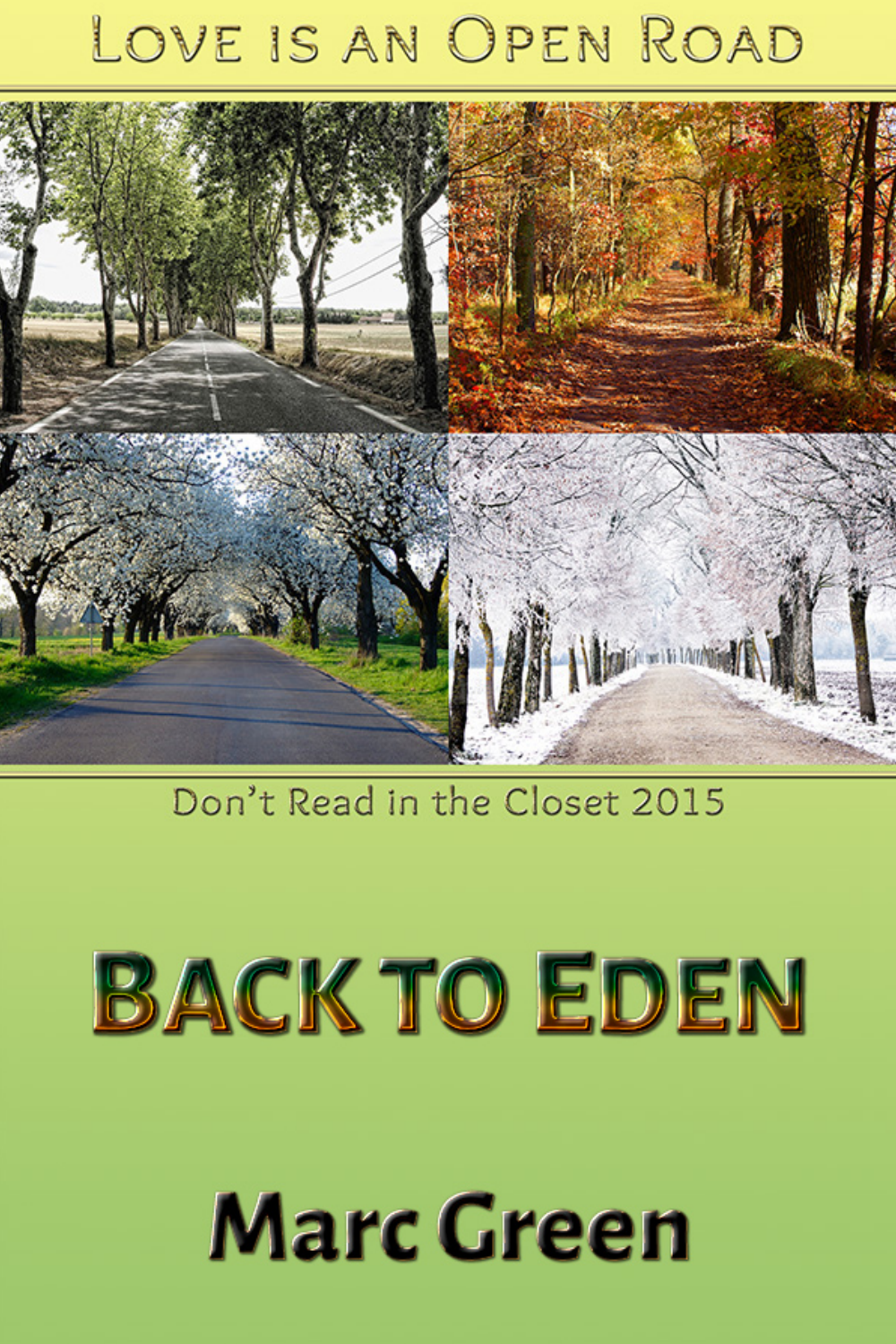## LOVE IS AN OPEN ROAD



## Don't Read in the Closet 2015

# **BACK TO EDEN**

# **Marc Green**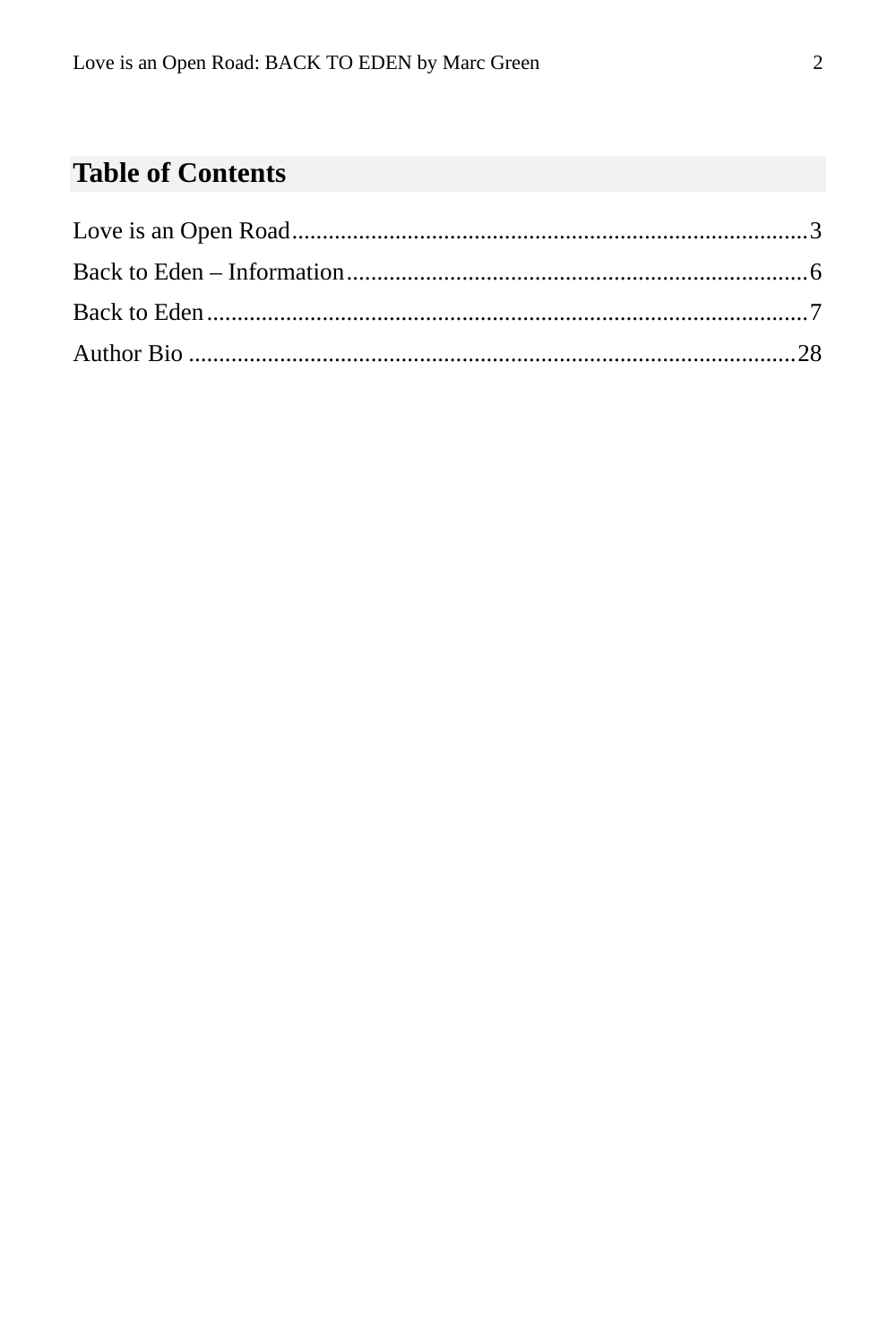## **Table of Contents**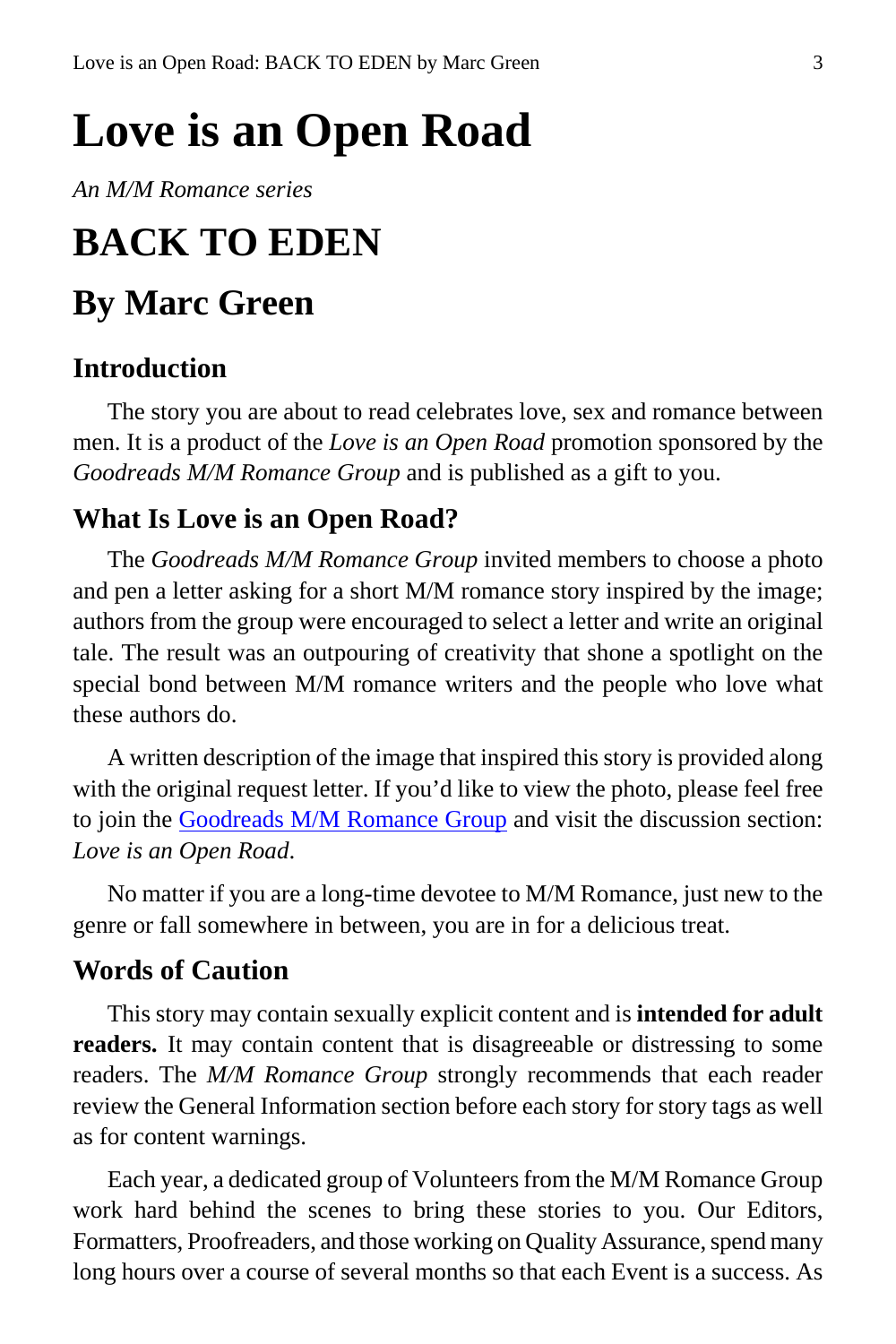## <span id="page-2-0"></span>**Love is an Open Road**

*An M/M Romance series*

## **BACK TO EDEN**

## **By Marc Green**

#### **Introduction**

The story you are about to read celebrates love, sex and romance between men. It is a product of the *Love is an Open Road* promotion sponsored by the *Goodreads M/M Romance Group* and is published as a gift to you.

### **What Is Love is an Open Road?**

The *Goodreads M/M Romance Group* invited members to choose a photo and pen a letter asking for a short M/M romance story inspired by the image; authors from the group were encouraged to select a letter and write an original tale. The result was an outpouring of creativity that shone a spotlight on the special bond between M/M romance writers and the people who love what these authors do.

A written description of the image that inspired this story is provided along with the original request letter. If you'd like to view the photo, please feel free to join the [Goodreads M/M Romance Group](http://www.goodreads.com/group/show/20149-m-m-romance) and visit the discussion section: *Love is an Open Road*.

No matter if you are a long-time devotee to M/M Romance, just new to the genre or fall somewhere in between, you are in for a delicious treat.

### **Words of Caution**

This story may contain sexually explicit content and is **intended for adult readers.** It may contain content that is disagreeable or distressing to some readers. The *M/M Romance Group* strongly recommends that each reader review the General Information section before each story for story tags as well as for content warnings.

Each year, a dedicated group of Volunteers from the M/M Romance Group work hard behind the scenes to bring these stories to you. Our Editors, Formatters, Proofreaders, and those working on Quality Assurance, spend many long hours over a course of several months so that each Event is a success. As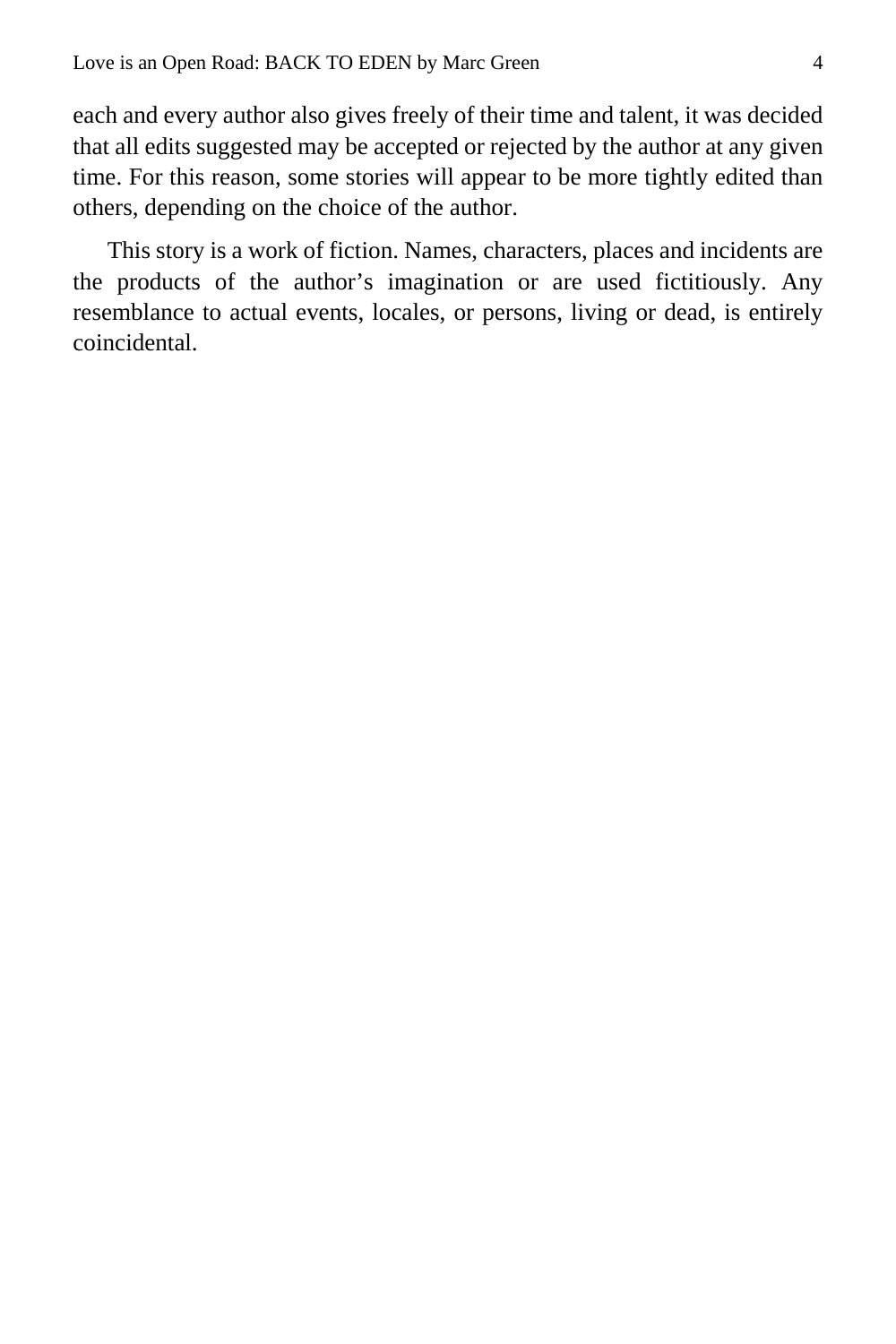each and every author also gives freely of their time and talent, it was decided that all edits suggested may be accepted or rejected by the author at any given time. For this reason, some stories will appear to be more tightly edited than others, depending on the choice of the author.

This story is a work of fiction. Names, characters, places and incidents are the products of the author's imagination or are used fictitiously. Any resemblance to actual events, locales, or persons, living or dead, is entirely coincidental.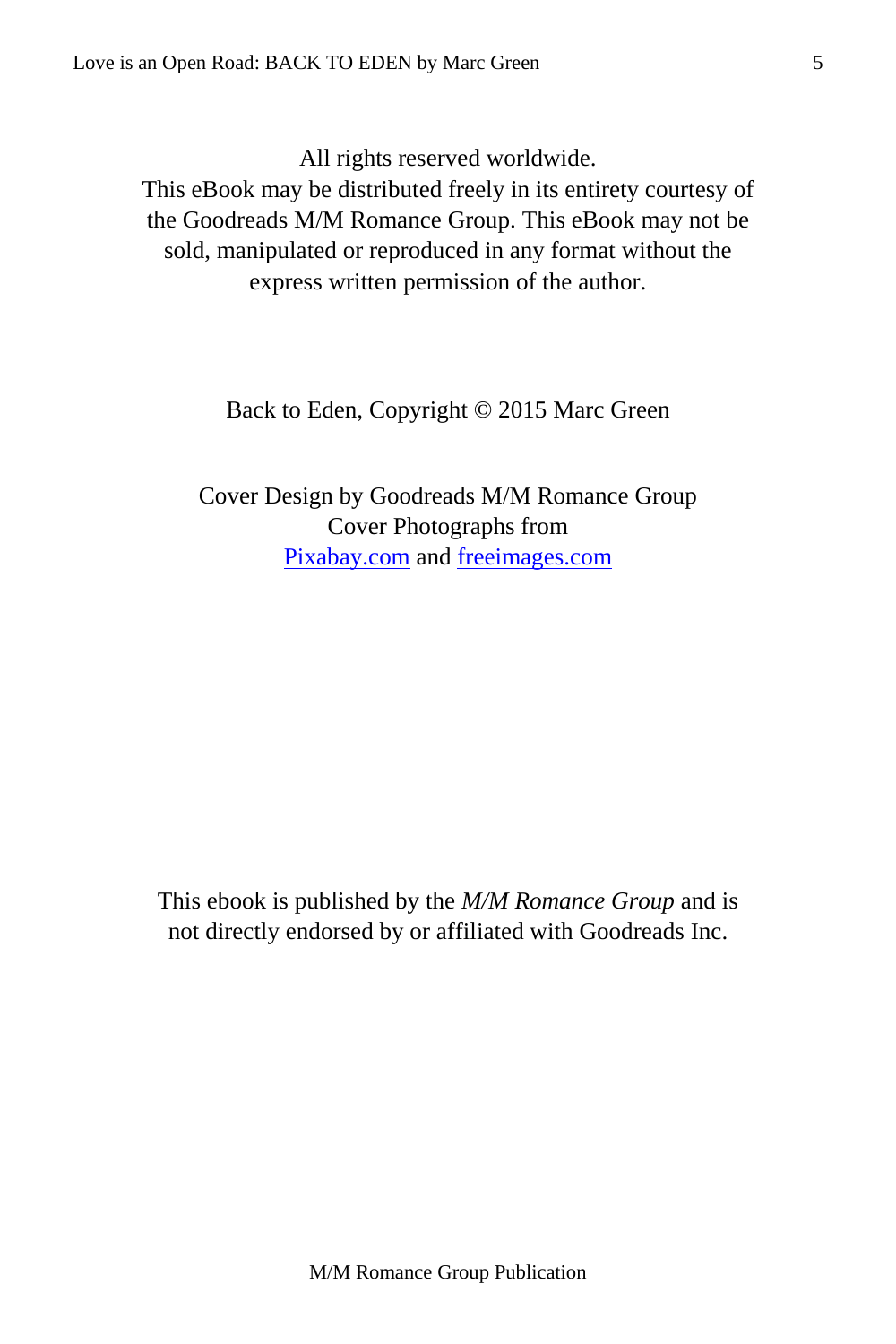All rights reserved worldwide.

This eBook may be distributed freely in its entirety courtesy of the Goodreads M/M Romance Group. This eBook may not be sold, manipulated or reproduced in any format without the express written permission of the author.

Back to Eden, Copyright © 2015 Marc Green

Cover Design by Goodreads M/M Romance Group Cover Photographs from [Pixabay.com](http://pixabay.com/en/) and [freeimages.com](http://www.freeimages.com/)

This ebook is published by the *M/M Romance Group* and is not directly endorsed by or affiliated with Goodreads Inc.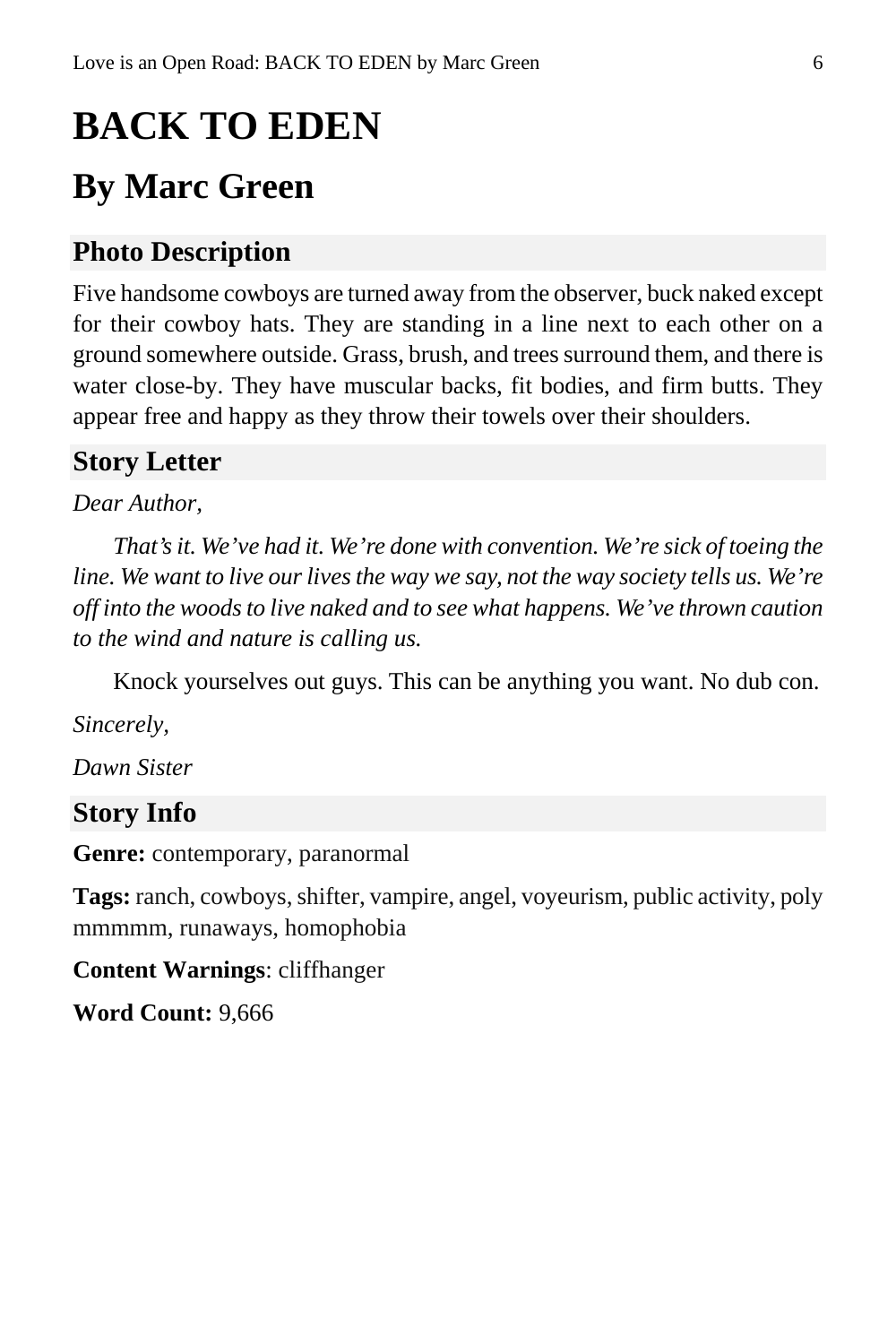## <span id="page-5-0"></span>**BACK TO EDEN**

## **By Marc Green**

## **Photo Description**

Five handsome cowboys are turned away from the observer, buck naked except for their cowboy hats. They are standing in a line next to each other on a ground somewhere outside. Grass, brush, and trees surround them, and there is water close-by. They have muscular backs, fit bodies, and firm butts. They appear free and happy as they throw their towels over their shoulders.

### **Story Letter**

#### *Dear Author,*

*That's it. We've had it. We're done with convention. We're sick of toeing the line. We want to live our lives the way we say, not the way society tells us. We're off into the woods to live naked and to see what happens. We've thrown caution to the wind and nature is calling us.*

Knock yourselves out guys. This can be anything you want. No dub con.

*Sincerely,*

*Dawn Sister*

#### **Story Info**

**Genre:** contemporary, paranormal

**Tags:** ranch, cowboys, shifter, vampire, angel, voyeurism, public activity, poly mmmmm, runaways, homophobia

**Content Warnings**: cliffhanger

**Word Count:** 9,666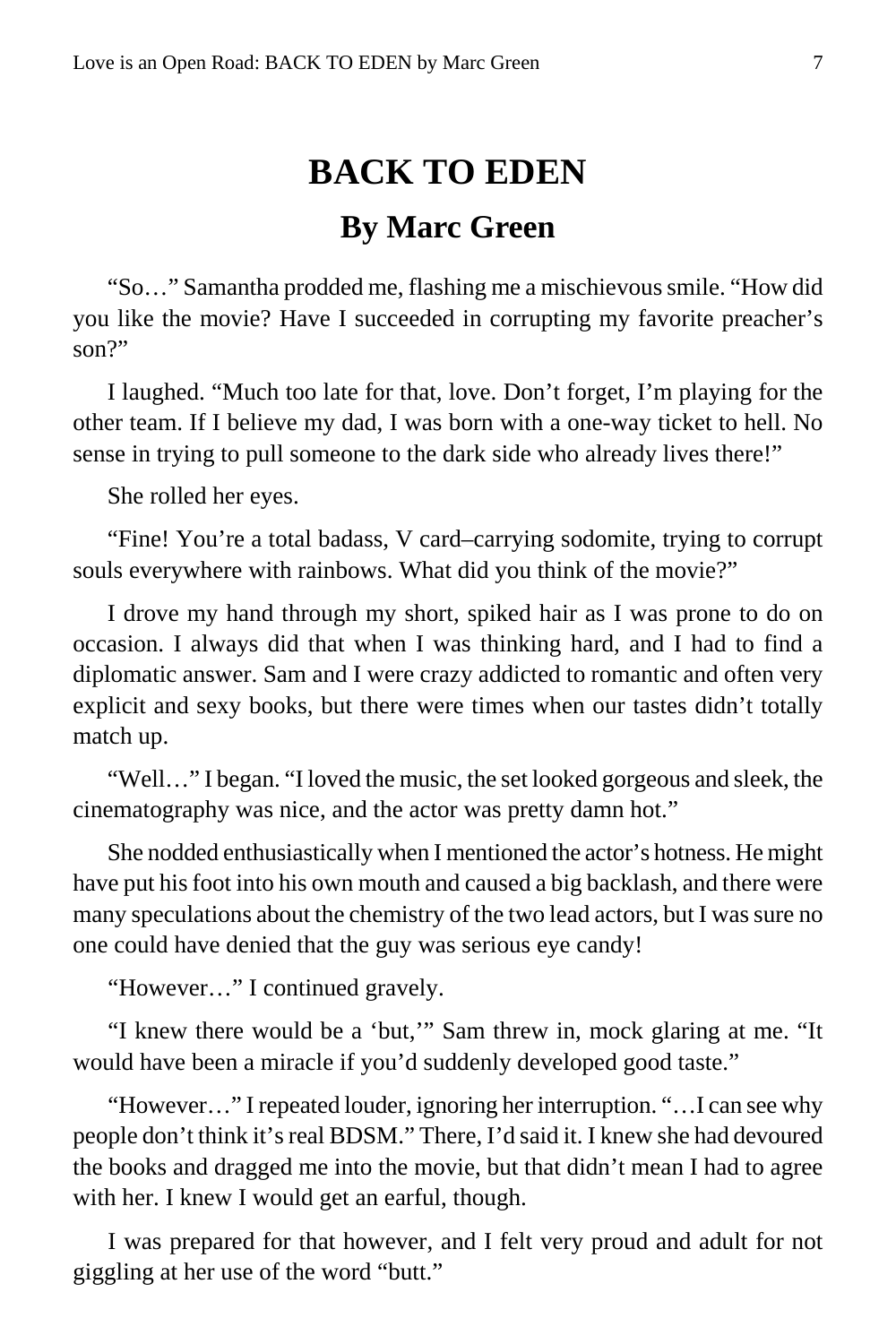## **BACK TO EDEN**

## **By Marc Green**

<span id="page-6-0"></span>"So…" Samantha prodded me, flashing me a mischievous smile. "How did you like the movie? Have I succeeded in corrupting my favorite preacher's son?"

I laughed. "Much too late for that, love. Don't forget, I'm playing for the other team. If I believe my dad, I was born with a one-way ticket to hell. No sense in trying to pull someone to the dark side who already lives there!"

She rolled her eyes.

"Fine! You're a total badass, V card–carrying sodomite, trying to corrupt souls everywhere with rainbows. What did you think of the movie?"

I drove my hand through my short, spiked hair as I was prone to do on occasion. I always did that when I was thinking hard, and I had to find a diplomatic answer. Sam and I were crazy addicted to romantic and often very explicit and sexy books, but there were times when our tastes didn't totally match up.

"Well…" I began. "I loved the music, the set looked gorgeous and sleek, the cinematography was nice, and the actor was pretty damn hot."

She nodded enthusiastically when I mentioned the actor's hotness. He might have put his foot into his own mouth and caused a big backlash, and there were many speculations about the chemistry of the two lead actors, but I was sure no one could have denied that the guy was serious eye candy!

"However…" I continued gravely.

"I knew there would be a 'but,'" Sam threw in, mock glaring at me. "It would have been a miracle if you'd suddenly developed good taste."

"However…" I repeated louder, ignoring her interruption. "…I can see why people don't think it's real BDSM." There, I'd said it. I knew she had devoured the books and dragged me into the movie, but that didn't mean I had to agree with her. I knew I would get an earful, though.

I was prepared for that however, and I felt very proud and adult for not giggling at her use of the word "butt."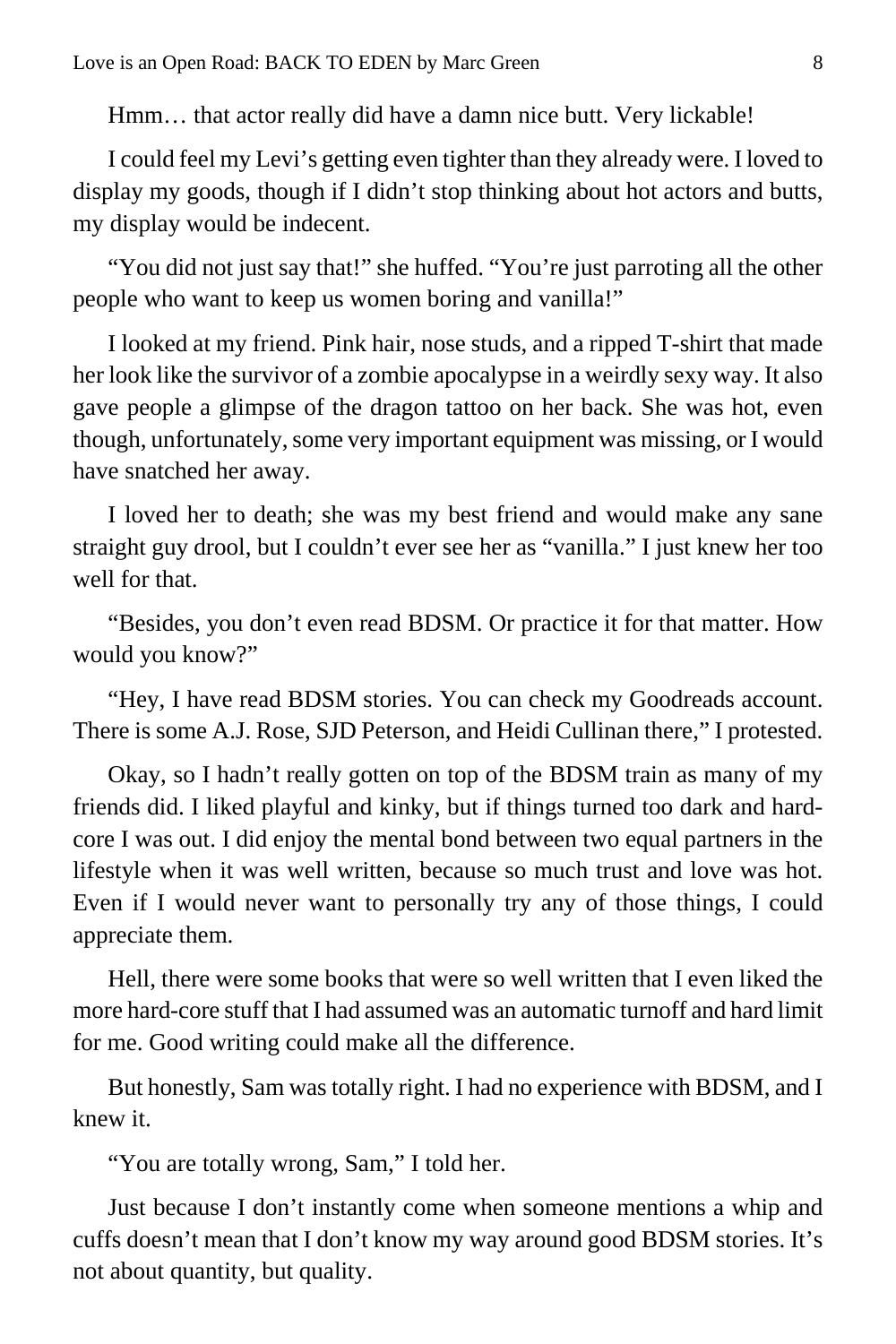Hmm… that actor really did have a damn nice butt. Very lickable!

I could feel my Levi's getting even tighter than they already were. I loved to display my goods, though if I didn't stop thinking about hot actors and butts, my display would be indecent.

"You did not just say that!" she huffed. "You're just parroting all the other people who want to keep us women boring and vanilla!"

I looked at my friend. Pink hair, nose studs, and a ripped T-shirt that made her look like the survivor of a zombie apocalypse in a weirdly sexy way. It also gave people a glimpse of the dragon tattoo on her back. She was hot, even though, unfortunately, some very important equipment was missing, or I would have snatched her away.

I loved her to death; she was my best friend and would make any sane straight guy drool, but I couldn't ever see her as "vanilla." I just knew her too well for that.

"Besides, you don't even read BDSM. Or practice it for that matter. How would you know?"

"Hey, I have read BDSM stories. You can check my Goodreads account. There is some A.J. Rose, SJD Peterson, and Heidi Cullinan there," I protested.

Okay, so I hadn't really gotten on top of the BDSM train as many of my friends did. I liked playful and kinky, but if things turned too dark and hardcore I was out. I did enjoy the mental bond between two equal partners in the lifestyle when it was well written, because so much trust and love was hot. Even if I would never want to personally try any of those things, I could appreciate them.

Hell, there were some books that were so well written that I even liked the more hard-core stuff that I had assumed was an automatic turnoff and hard limit for me. Good writing could make all the difference.

But honestly, Sam was totally right. I had no experience with BDSM, and I knew it.

"You are totally wrong, Sam," I told her.

Just because I don't instantly come when someone mentions a whip and cuffs doesn't mean that I don't know my way around good BDSM stories. It's not about quantity, but quality.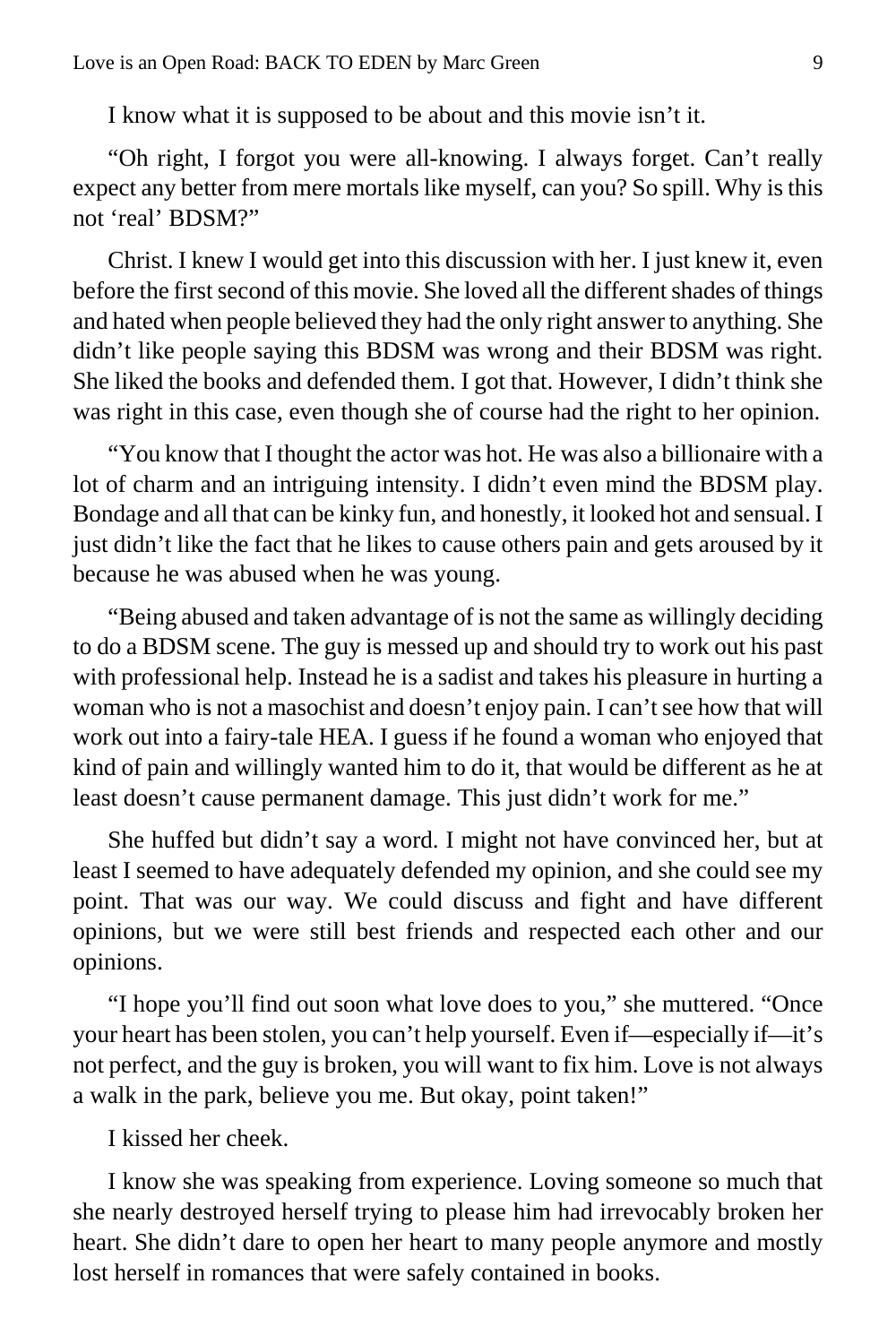I know what it is supposed to be about and this movie isn't it.

"Oh right, I forgot you were all-knowing. I always forget. Can't really expect any better from mere mortals like myself, can you? So spill. Why is this not 'real' BDSM?"

Christ. I knew I would get into this discussion with her. I just knew it, even before the first second of this movie. She loved all the different shades of things and hated when people believed they had the only right answer to anything. She didn't like people saying this BDSM was wrong and their BDSM was right. She liked the books and defended them. I got that. However, I didn't think she was right in this case, even though she of course had the right to her opinion.

"You know that I thought the actor was hot. He was also a billionaire with a lot of charm and an intriguing intensity. I didn't even mind the BDSM play. Bondage and all that can be kinky fun, and honestly, it looked hot and sensual. I just didn't like the fact that he likes to cause others pain and gets aroused by it because he was abused when he was young.

"Being abused and taken advantage of is not the same as willingly deciding to do a BDSM scene. The guy is messed up and should try to work out his past with professional help. Instead he is a sadist and takes his pleasure in hurting a woman who is not a masochist and doesn't enjoy pain. I can't see how that will work out into a fairy-tale HEA. I guess if he found a woman who enjoyed that kind of pain and willingly wanted him to do it, that would be different as he at least doesn't cause permanent damage. This just didn't work for me."

She huffed but didn't say a word. I might not have convinced her, but at least I seemed to have adequately defended my opinion, and she could see my point. That was our way. We could discuss and fight and have different opinions, but we were still best friends and respected each other and our opinions.

"I hope you'll find out soon what love does to you," she muttered. "Once your heart has been stolen, you can't help yourself. Even if—especially if—it's not perfect, and the guy is broken, you will want to fix him. Love is not always a walk in the park, believe you me. But okay, point taken!"

I kissed her cheek.

I know she was speaking from experience. Loving someone so much that she nearly destroyed herself trying to please him had irrevocably broken her heart. She didn't dare to open her heart to many people anymore and mostly lost herself in romances that were safely contained in books.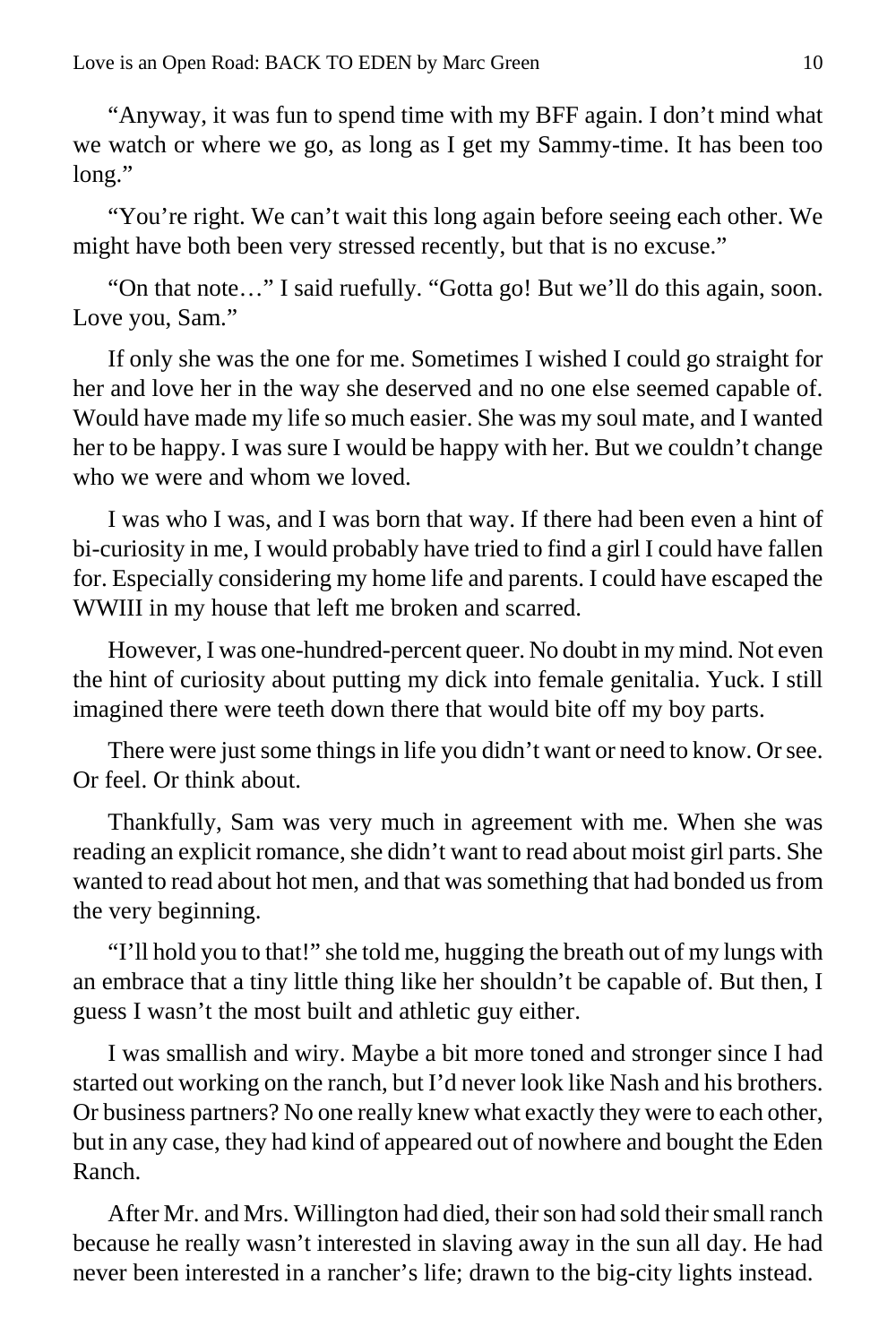"Anyway, it was fun to spend time with my BFF again. I don't mind what we watch or where we go, as long as I get my Sammy-time. It has been too long."

"You're right. We can't wait this long again before seeing each other. We might have both been very stressed recently, but that is no excuse."

"On that note…" I said ruefully. "Gotta go! But we'll do this again, soon. Love you, Sam."

If only she was the one for me. Sometimes I wished I could go straight for her and love her in the way she deserved and no one else seemed capable of. Would have made my life so much easier. She was my soul mate, and I wanted her to be happy. I was sure I would be happy with her. But we couldn't change who we were and whom we loved.

I was who I was, and I was born that way. If there had been even a hint of bi-curiosity in me, I would probably have tried to find a girl I could have fallen for. Especially considering my home life and parents. I could have escaped the WWIII in my house that left me broken and scarred.

However, I was one-hundred-percent queer. No doubt in my mind. Not even the hint of curiosity about putting my dick into female genitalia. Yuck. I still imagined there were teeth down there that would bite off my boy parts.

There were just some things in life you didn't want or need to know. Or see. Or feel. Or think about.

Thankfully, Sam was very much in agreement with me. When she was reading an explicit romance, she didn't want to read about moist girl parts. She wanted to read about hot men, and that was something that had bonded us from the very beginning.

"I'll hold you to that!" she told me, hugging the breath out of my lungs with an embrace that a tiny little thing like her shouldn't be capable of. But then, I guess I wasn't the most built and athletic guy either.

I was smallish and wiry. Maybe a bit more toned and stronger since I had started out working on the ranch, but I'd never look like Nash and his brothers. Or business partners? No one really knew what exactly they were to each other, but in any case, they had kind of appeared out of nowhere and bought the Eden Ranch.

After Mr. and Mrs. Willington had died, their son had sold their small ranch because he really wasn't interested in slaving away in the sun all day. He had never been interested in a rancher's life; drawn to the big-city lights instead.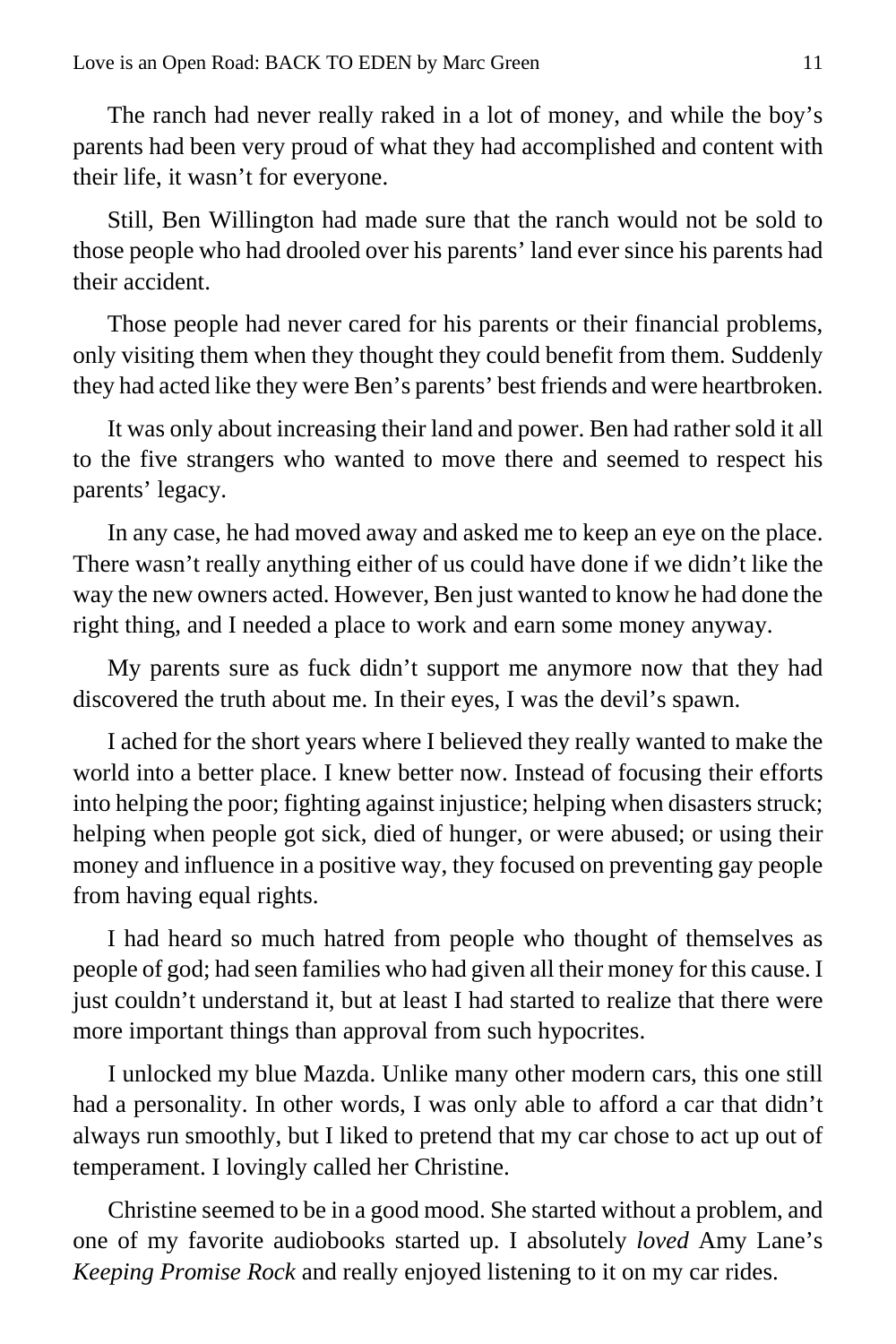The ranch had never really raked in a lot of money, and while the boy's parents had been very proud of what they had accomplished and content with their life, it wasn't for everyone.

Still, Ben Willington had made sure that the ranch would not be sold to those people who had drooled over his parents' land ever since his parents had their accident.

Those people had never cared for his parents or their financial problems, only visiting them when they thought they could benefit from them. Suddenly they had acted like they were Ben's parents' best friends and were heartbroken.

It was only about increasing their land and power. Ben had rather sold it all to the five strangers who wanted to move there and seemed to respect his parents' legacy.

In any case, he had moved away and asked me to keep an eye on the place. There wasn't really anything either of us could have done if we didn't like the way the new owners acted. However, Ben just wanted to know he had done the right thing, and I needed a place to work and earn some money anyway.

My parents sure as fuck didn't support me anymore now that they had discovered the truth about me. In their eyes, I was the devil's spawn.

I ached for the short years where I believed they really wanted to make the world into a better place. I knew better now. Instead of focusing their efforts into helping the poor; fighting against injustice; helping when disasters struck; helping when people got sick, died of hunger, or were abused; or using their money and influence in a positive way, they focused on preventing gay people from having equal rights.

I had heard so much hatred from people who thought of themselves as people of god; had seen families who had given all their money for this cause. I just couldn't understand it, but at least I had started to realize that there were more important things than approval from such hypocrites.

I unlocked my blue Mazda. Unlike many other modern cars, this one still had a personality. In other words, I was only able to afford a car that didn't always run smoothly, but I liked to pretend that my car chose to act up out of temperament. I lovingly called her Christine.

Christine seemed to be in a good mood. She started without a problem, and one of my favorite audiobooks started up. I absolutely *loved* Amy Lane's *Keeping Promise Rock* and really enjoyed listening to it on my car rides.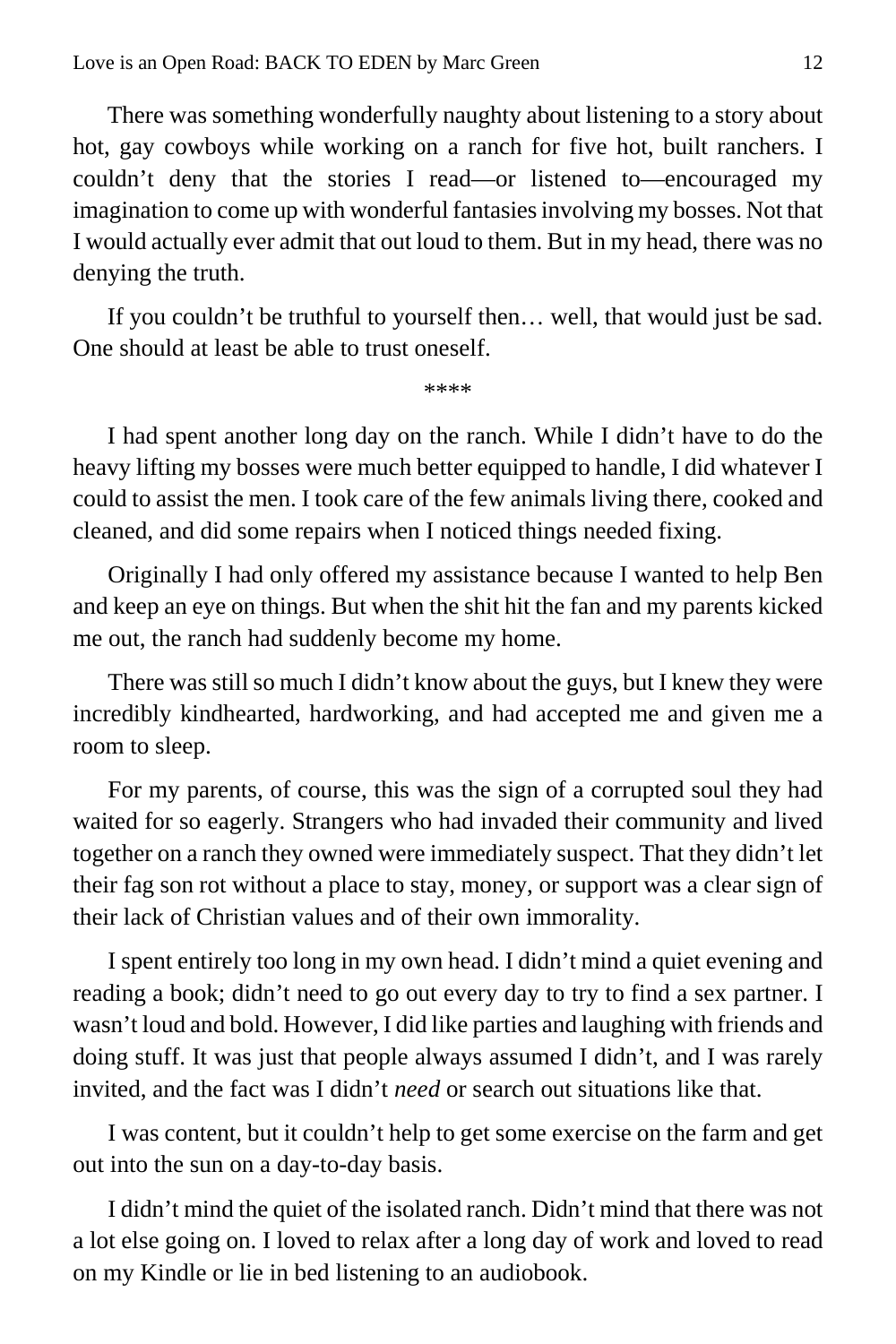There was something wonderfully naughty about listening to a story about hot, gay cowboys while working on a ranch for five hot, built ranchers. I couldn't deny that the stories I read—or listened to—encouraged my imagination to come up with wonderful fantasies involving my bosses. Not that I would actually ever admit that out loud to them. But in my head, there was no denying the truth.

If you couldn't be truthful to yourself then… well, that would just be sad. One should at least be able to trust oneself.

\*\*\*\*

I had spent another long day on the ranch. While I didn't have to do the heavy lifting my bosses were much better equipped to handle, I did whatever I could to assist the men. I took care of the few animals living there, cooked and cleaned, and did some repairs when I noticed things needed fixing.

Originally I had only offered my assistance because I wanted to help Ben and keep an eye on things. But when the shit hit the fan and my parents kicked me out, the ranch had suddenly become my home.

There was still so much I didn't know about the guys, but I knew they were incredibly kindhearted, hardworking, and had accepted me and given me a room to sleep.

For my parents, of course, this was the sign of a corrupted soul they had waited for so eagerly. Strangers who had invaded their community and lived together on a ranch they owned were immediately suspect. That they didn't let their fag son rot without a place to stay, money, or support was a clear sign of their lack of Christian values and of their own immorality.

I spent entirely too long in my own head. I didn't mind a quiet evening and reading a book; didn't need to go out every day to try to find a sex partner. I wasn't loud and bold. However, I did like parties and laughing with friends and doing stuff. It was just that people always assumed I didn't, and I was rarely invited, and the fact was I didn't *need* or search out situations like that.

I was content, but it couldn't help to get some exercise on the farm and get out into the sun on a day-to-day basis.

I didn't mind the quiet of the isolated ranch. Didn't mind that there was not a lot else going on. I loved to relax after a long day of work and loved to read on my Kindle or lie in bed listening to an audiobook.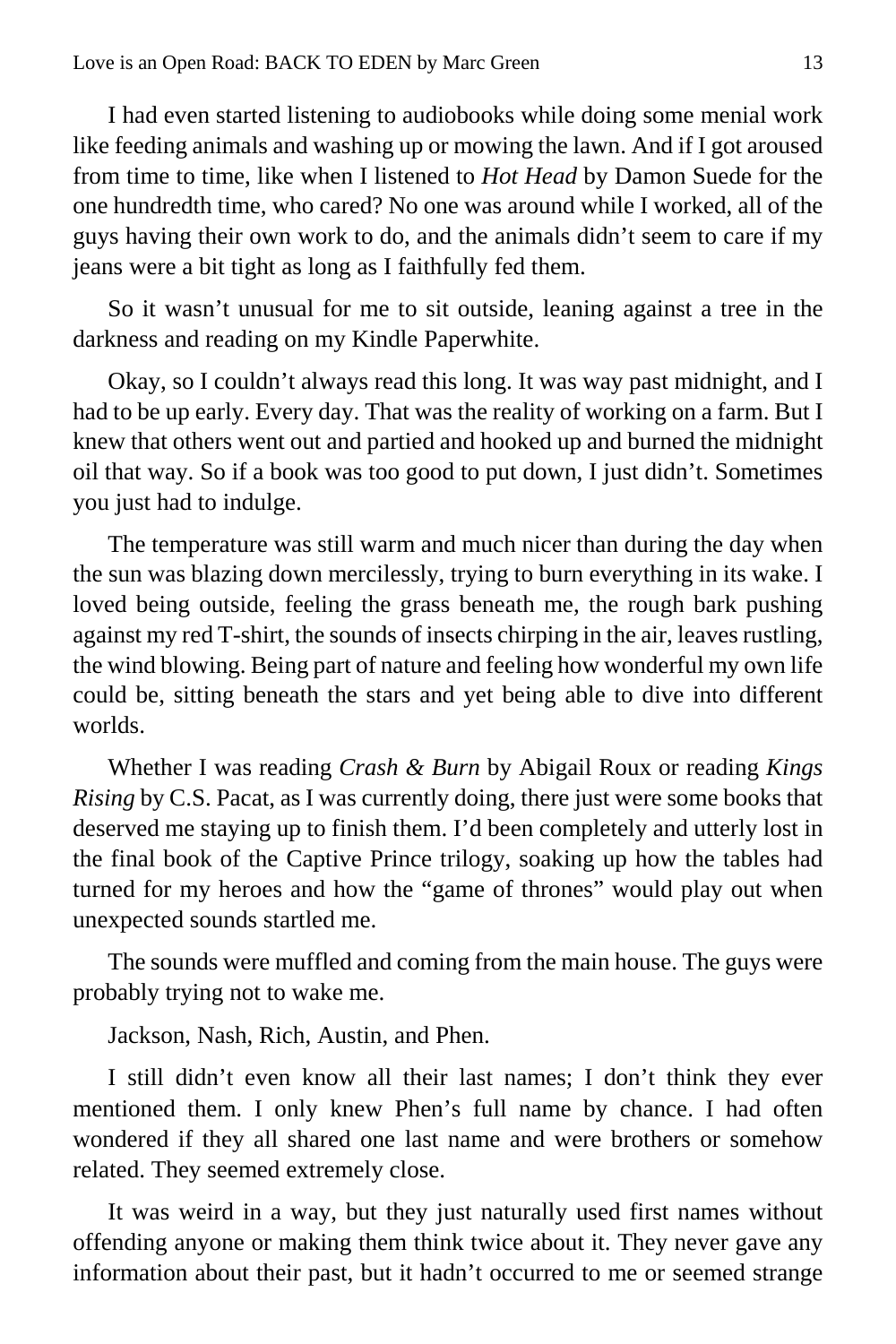I had even started listening to audiobooks while doing some menial work like feeding animals and washing up or mowing the lawn. And if I got aroused from time to time, like when I listened to *Hot Head* by Damon Suede for the one hundredth time, who cared? No one was around while I worked, all of the guys having their own work to do, and the animals didn't seem to care if my jeans were a bit tight as long as I faithfully fed them.

So it wasn't unusual for me to sit outside, leaning against a tree in the darkness and reading on my Kindle Paperwhite.

Okay, so I couldn't always read this long. It was way past midnight, and I had to be up early. Every day. That was the reality of working on a farm. But I knew that others went out and partied and hooked up and burned the midnight oil that way. So if a book was too good to put down, I just didn't. Sometimes you just had to indulge.

The temperature was still warm and much nicer than during the day when the sun was blazing down mercilessly, trying to burn everything in its wake. I loved being outside, feeling the grass beneath me, the rough bark pushing against my red T-shirt, the sounds of insects chirping in the air, leaves rustling, the wind blowing. Being part of nature and feeling how wonderful my own life could be, sitting beneath the stars and yet being able to dive into different worlds.

Whether I was reading *Crash & Burn* by Abigail Roux or reading *Kings Rising* by C.S. Pacat, as I was currently doing, there just were some books that deserved me staying up to finish them. I'd been completely and utterly lost in the final book of the Captive Prince trilogy, soaking up how the tables had turned for my heroes and how the "game of thrones" would play out when unexpected sounds startled me.

The sounds were muffled and coming from the main house. The guys were probably trying not to wake me.

Jackson, Nash, Rich, Austin, and Phen.

I still didn't even know all their last names; I don't think they ever mentioned them. I only knew Phen's full name by chance. I had often wondered if they all shared one last name and were brothers or somehow related. They seemed extremely close.

It was weird in a way, but they just naturally used first names without offending anyone or making them think twice about it. They never gave any information about their past, but it hadn't occurred to me or seemed strange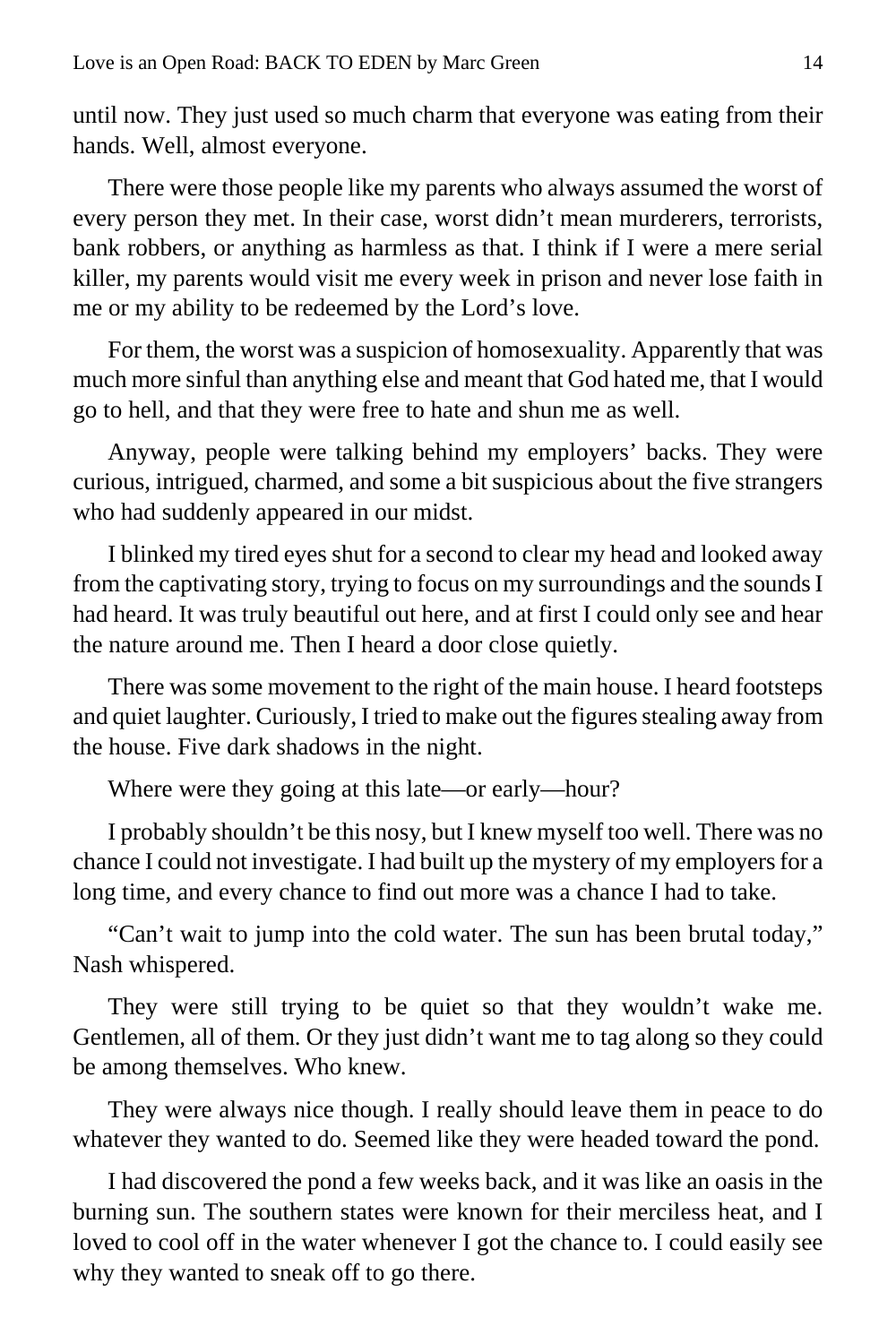until now. They just used so much charm that everyone was eating from their hands. Well, almost everyone.

There were those people like my parents who always assumed the worst of every person they met. In their case, worst didn't mean murderers, terrorists, bank robbers, or anything as harmless as that. I think if I were a mere serial killer, my parents would visit me every week in prison and never lose faith in me or my ability to be redeemed by the Lord's love.

For them, the worst was a suspicion of homosexuality. Apparently that was much more sinful than anything else and meant that God hated me, that I would go to hell, and that they were free to hate and shun me as well.

Anyway, people were talking behind my employers' backs. They were curious, intrigued, charmed, and some a bit suspicious about the five strangers who had suddenly appeared in our midst.

I blinked my tired eyes shut for a second to clear my head and looked away from the captivating story, trying to focus on my surroundings and the sounds I had heard. It was truly beautiful out here, and at first I could only see and hear the nature around me. Then I heard a door close quietly.

There was some movement to the right of the main house. I heard footsteps and quiet laughter. Curiously, I tried to make out the figures stealing away from the house. Five dark shadows in the night.

Where were they going at this late—or early—hour?

I probably shouldn't be this nosy, but I knew myself too well. There was no chance I could not investigate. I had built up the mystery of my employers for a long time, and every chance to find out more was a chance I had to take.

"Can't wait to jump into the cold water. The sun has been brutal today," Nash whispered.

They were still trying to be quiet so that they wouldn't wake me. Gentlemen, all of them. Or they just didn't want me to tag along so they could be among themselves. Who knew.

They were always nice though. I really should leave them in peace to do whatever they wanted to do. Seemed like they were headed toward the pond.

I had discovered the pond a few weeks back, and it was like an oasis in the burning sun. The southern states were known for their merciless heat, and I loved to cool off in the water whenever I got the chance to. I could easily see why they wanted to sneak off to go there.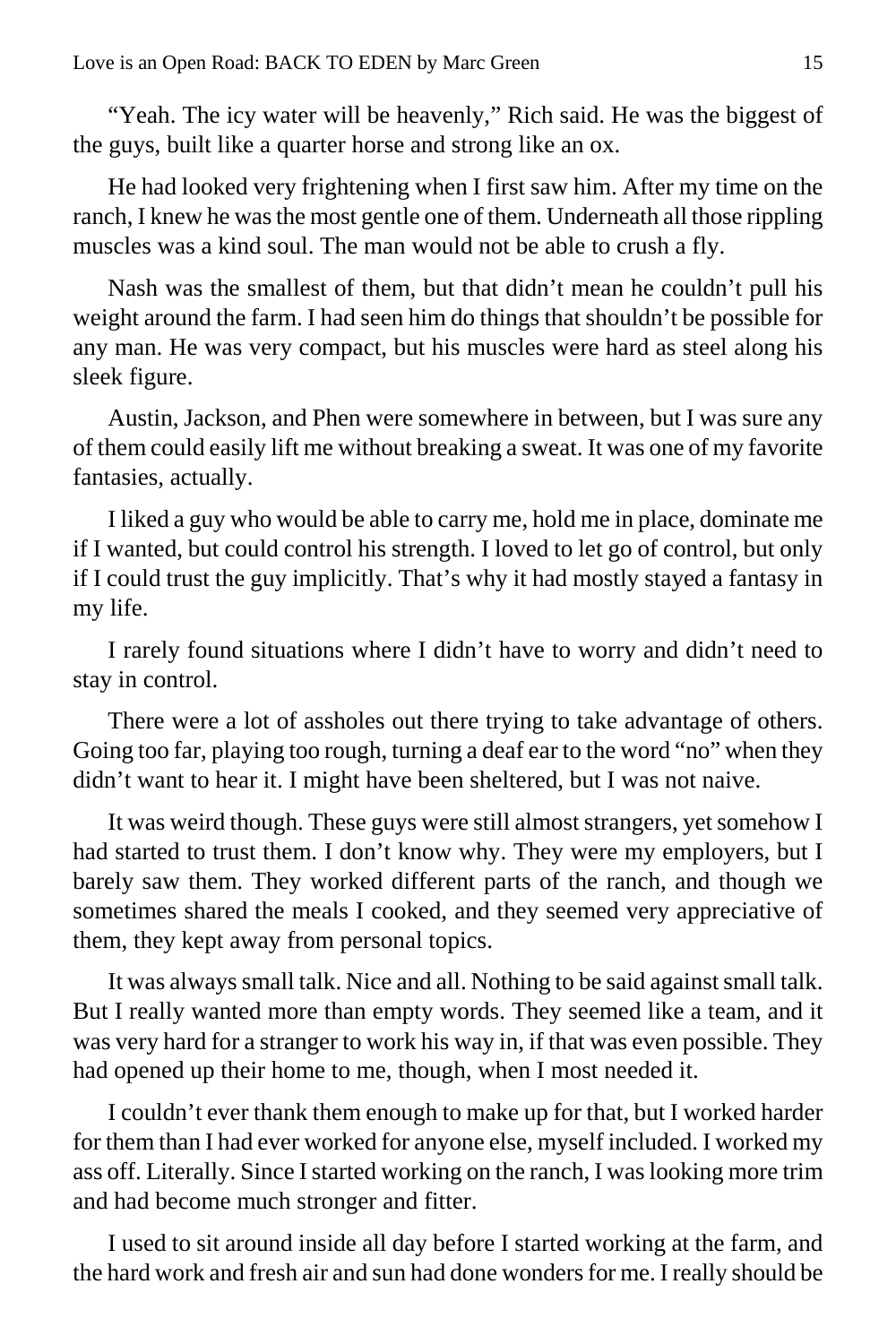"Yeah. The icy water will be heavenly," Rich said. He was the biggest of the guys, built like a quarter horse and strong like an ox.

He had looked very frightening when I first saw him. After my time on the ranch, I knew he was the most gentle one of them. Underneath all those rippling muscles was a kind soul. The man would not be able to crush a fly.

Nash was the smallest of them, but that didn't mean he couldn't pull his weight around the farm. I had seen him do things that shouldn't be possible for any man. He was very compact, but his muscles were hard as steel along his sleek figure.

Austin, Jackson, and Phen were somewhere in between, but I was sure any of them could easily lift me without breaking a sweat. It was one of my favorite fantasies, actually.

I liked a guy who would be able to carry me, hold me in place, dominate me if I wanted, but could control his strength. I loved to let go of control, but only if I could trust the guy implicitly. That's why it had mostly stayed a fantasy in my life.

I rarely found situations where I didn't have to worry and didn't need to stay in control.

There were a lot of assholes out there trying to take advantage of others. Going too far, playing too rough, turning a deaf ear to the word "no" when they didn't want to hear it. I might have been sheltered, but I was not naive.

It was weird though. These guys were still almost strangers, yet somehow I had started to trust them. I don't know why. They were my employers, but I barely saw them. They worked different parts of the ranch, and though we sometimes shared the meals I cooked, and they seemed very appreciative of them, they kept away from personal topics.

It was always small talk. Nice and all. Nothing to be said against small talk. But I really wanted more than empty words. They seemed like a team, and it was very hard for a stranger to work his way in, if that was even possible. They had opened up their home to me, though, when I most needed it.

I couldn't ever thank them enough to make up for that, but I worked harder for them than I had ever worked for anyone else, myself included. I worked my ass off. Literally. Since I started working on the ranch, I was looking more trim and had become much stronger and fitter.

I used to sit around inside all day before I started working at the farm, and the hard work and fresh air and sun had done wonders for me. I really should be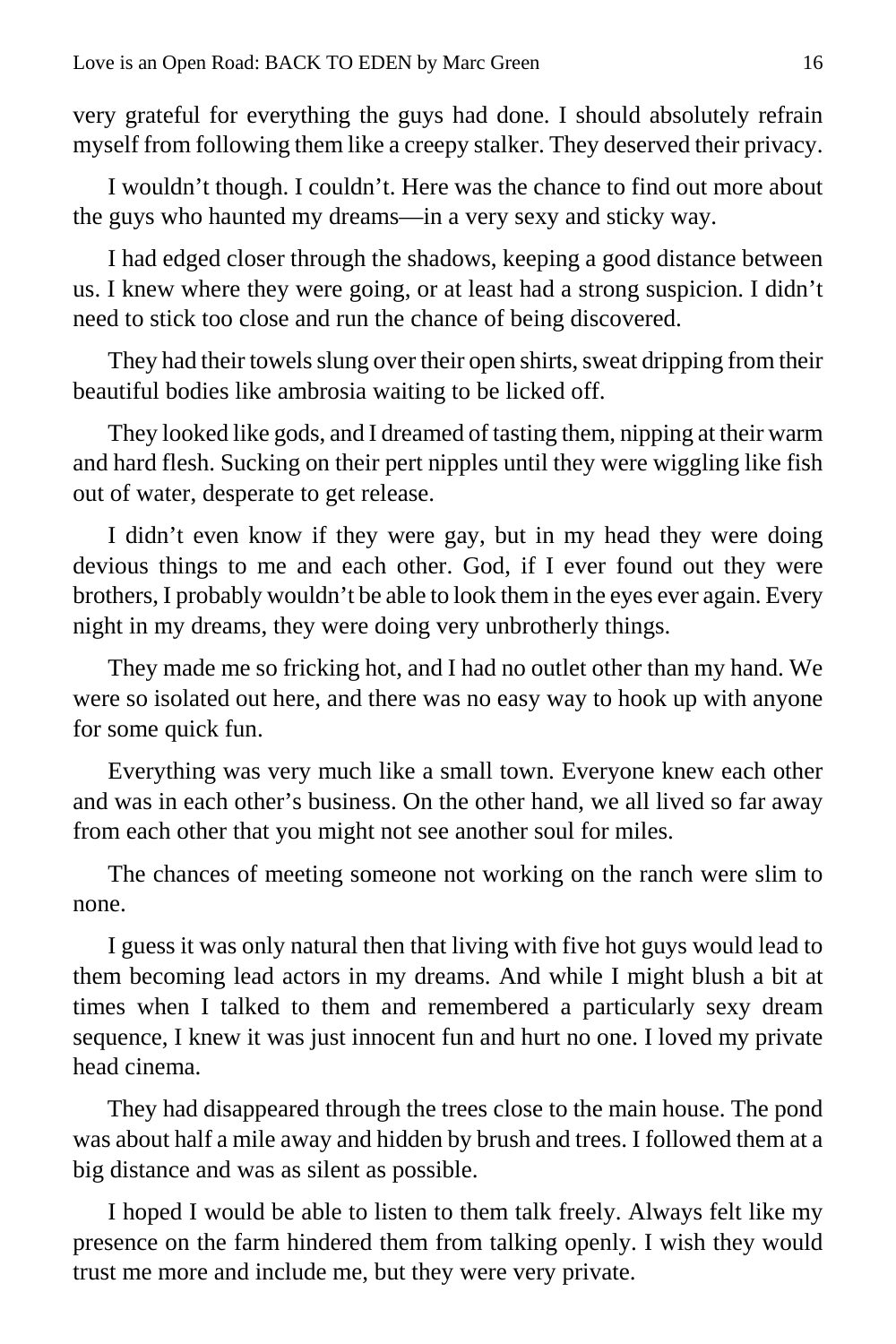very grateful for everything the guys had done. I should absolutely refrain myself from following them like a creepy stalker. They deserved their privacy.

I wouldn't though. I couldn't. Here was the chance to find out more about the guys who haunted my dreams—in a very sexy and sticky way.

I had edged closer through the shadows, keeping a good distance between us. I knew where they were going, or at least had a strong suspicion. I didn't need to stick too close and run the chance of being discovered.

They had their towels slung over their open shirts, sweat dripping from their beautiful bodies like ambrosia waiting to be licked off.

They looked like gods, and I dreamed of tasting them, nipping at their warm and hard flesh. Sucking on their pert nipples until they were wiggling like fish out of water, desperate to get release.

I didn't even know if they were gay, but in my head they were doing devious things to me and each other. God, if I ever found out they were brothers, I probably wouldn't be able to look them in the eyes ever again. Every night in my dreams, they were doing very unbrotherly things.

They made me so fricking hot, and I had no outlet other than my hand. We were so isolated out here, and there was no easy way to hook up with anyone for some quick fun.

Everything was very much like a small town. Everyone knew each other and was in each other's business. On the other hand, we all lived so far away from each other that you might not see another soul for miles.

The chances of meeting someone not working on the ranch were slim to none.

I guess it was only natural then that living with five hot guys would lead to them becoming lead actors in my dreams. And while I might blush a bit at times when I talked to them and remembered a particularly sexy dream sequence, I knew it was just innocent fun and hurt no one. I loved my private head cinema.

They had disappeared through the trees close to the main house. The pond was about half a mile away and hidden by brush and trees. I followed them at a big distance and was as silent as possible.

I hoped I would be able to listen to them talk freely. Always felt like my presence on the farm hindered them from talking openly. I wish they would trust me more and include me, but they were very private.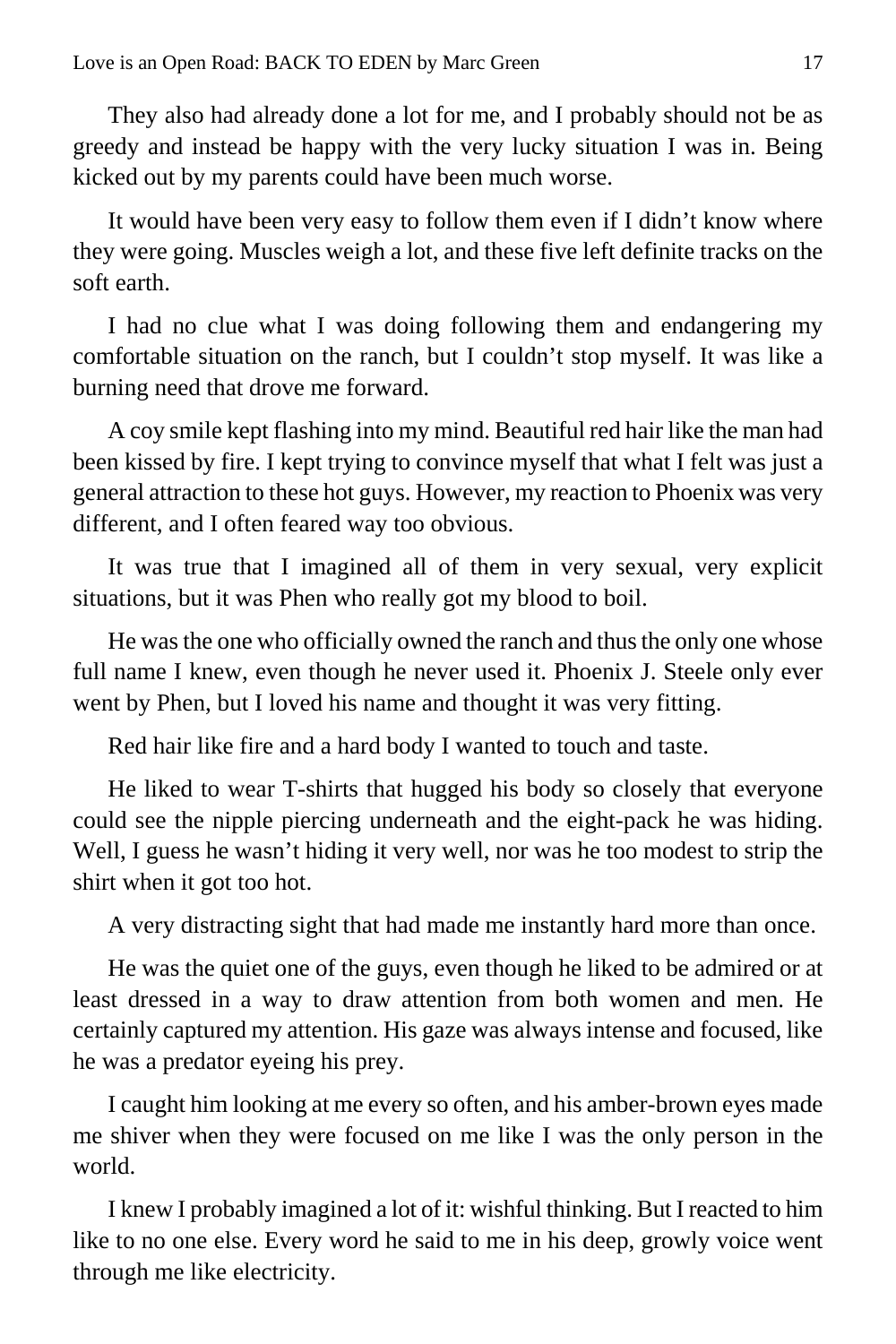They also had already done a lot for me, and I probably should not be as greedy and instead be happy with the very lucky situation I was in. Being kicked out by my parents could have been much worse.

It would have been very easy to follow them even if I didn't know where they were going. Muscles weigh a lot, and these five left definite tracks on the soft earth.

I had no clue what I was doing following them and endangering my comfortable situation on the ranch, but I couldn't stop myself. It was like a burning need that drove me forward.

A coy smile kept flashing into my mind. Beautiful red hair like the man had been kissed by fire. I kept trying to convince myself that what I felt was just a general attraction to these hot guys. However, my reaction to Phoenix was very different, and I often feared way too obvious.

It was true that I imagined all of them in very sexual, very explicit situations, but it was Phen who really got my blood to boil.

He was the one who officially owned the ranch and thus the only one whose full name I knew, even though he never used it. Phoenix J. Steele only ever went by Phen, but I loved his name and thought it was very fitting.

Red hair like fire and a hard body I wanted to touch and taste.

He liked to wear T-shirts that hugged his body so closely that everyone could see the nipple piercing underneath and the eight-pack he was hiding. Well, I guess he wasn't hiding it very well, nor was he too modest to strip the shirt when it got too hot.

A very distracting sight that had made me instantly hard more than once.

He was the quiet one of the guys, even though he liked to be admired or at least dressed in a way to draw attention from both women and men. He certainly captured my attention. His gaze was always intense and focused, like he was a predator eyeing his prey.

I caught him looking at me every so often, and his amber-brown eyes made me shiver when they were focused on me like I was the only person in the world.

I knew I probably imagined a lot of it: wishful thinking. But I reacted to him like to no one else. Every word he said to me in his deep, growly voice went through me like electricity.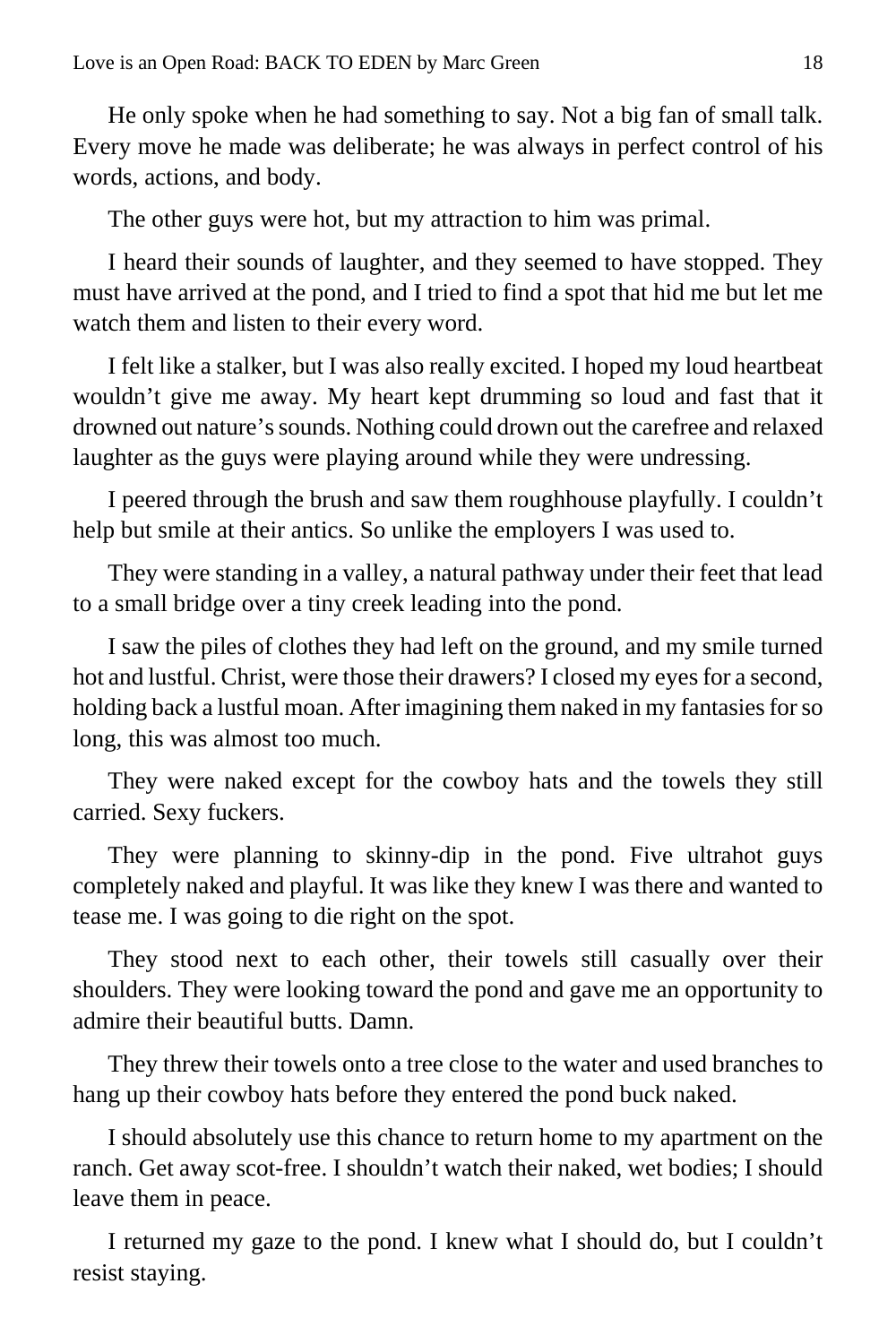He only spoke when he had something to say. Not a big fan of small talk. Every move he made was deliberate; he was always in perfect control of his words, actions, and body.

The other guys were hot, but my attraction to him was primal.

I heard their sounds of laughter, and they seemed to have stopped. They must have arrived at the pond, and I tried to find a spot that hid me but let me watch them and listen to their every word.

I felt like a stalker, but I was also really excited. I hoped my loud heartbeat wouldn't give me away. My heart kept drumming so loud and fast that it drowned out nature's sounds. Nothing could drown out the carefree and relaxed laughter as the guys were playing around while they were undressing.

I peered through the brush and saw them roughhouse playfully. I couldn't help but smile at their antics. So unlike the employers I was used to.

They were standing in a valley, a natural pathway under their feet that lead to a small bridge over a tiny creek leading into the pond.

I saw the piles of clothes they had left on the ground, and my smile turned hot and lustful. Christ, were those their drawers? I closed my eyes for a second, holding back a lustful moan. After imagining them naked in my fantasies for so long, this was almost too much.

They were naked except for the cowboy hats and the towels they still carried. Sexy fuckers.

They were planning to skinny-dip in the pond. Five ultrahot guys completely naked and playful. It was like they knew I was there and wanted to tease me. I was going to die right on the spot.

They stood next to each other, their towels still casually over their shoulders. They were looking toward the pond and gave me an opportunity to admire their beautiful butts. Damn.

They threw their towels onto a tree close to the water and used branches to hang up their cowboy hats before they entered the pond buck naked.

I should absolutely use this chance to return home to my apartment on the ranch. Get away scot-free. I shouldn't watch their naked, wet bodies; I should leave them in peace.

I returned my gaze to the pond. I knew what I should do, but I couldn't resist staying.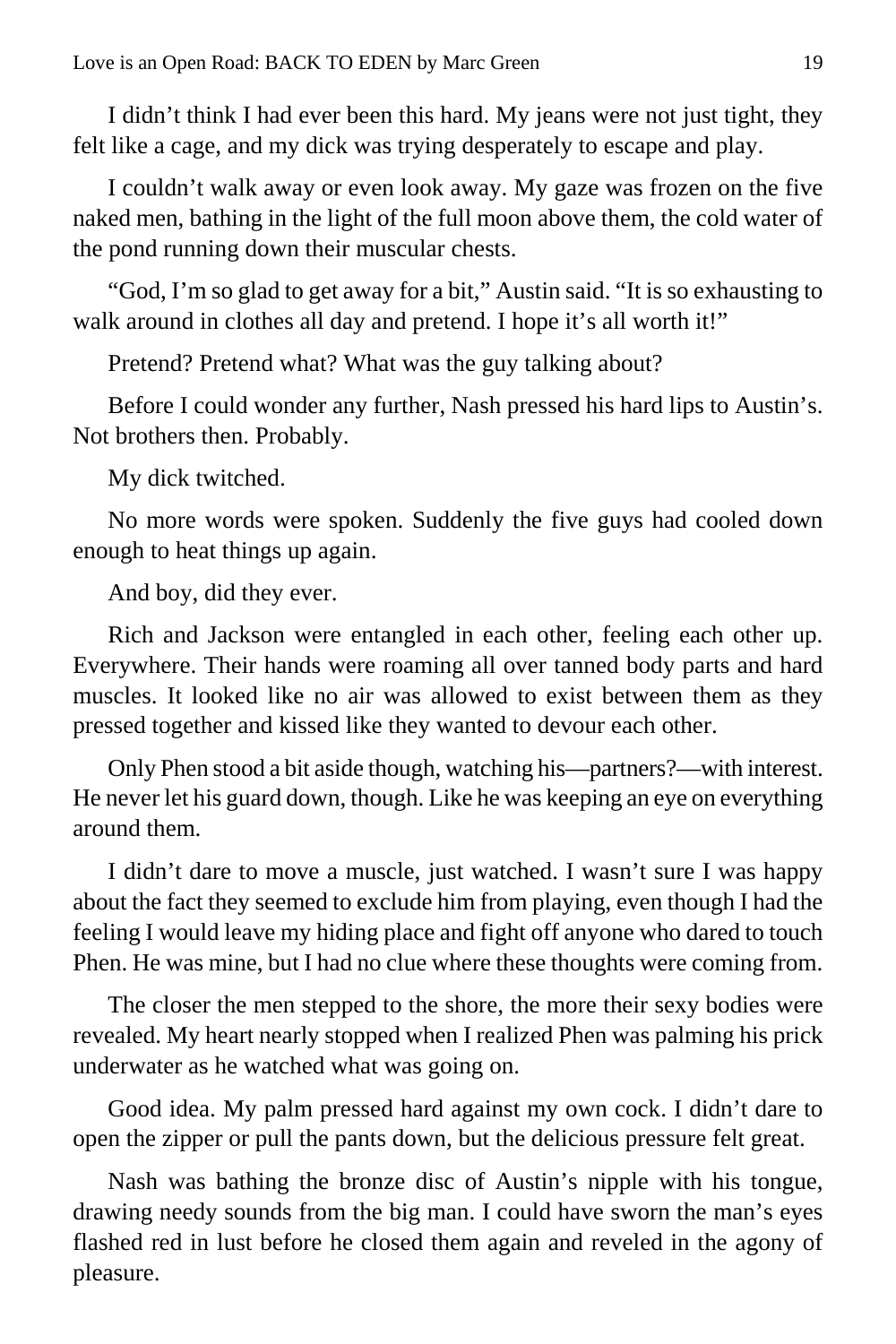I didn't think I had ever been this hard. My jeans were not just tight, they felt like a cage, and my dick was trying desperately to escape and play.

I couldn't walk away or even look away. My gaze was frozen on the five naked men, bathing in the light of the full moon above them, the cold water of the pond running down their muscular chests.

"God, I'm so glad to get away for a bit," Austin said. "It is so exhausting to walk around in clothes all day and pretend. I hope it's all worth it!"

Pretend? Pretend what? What was the guy talking about?

Before I could wonder any further, Nash pressed his hard lips to Austin's. Not brothers then. Probably.

My dick twitched.

No more words were spoken. Suddenly the five guys had cooled down enough to heat things up again.

And boy, did they ever.

Rich and Jackson were entangled in each other, feeling each other up. Everywhere. Their hands were roaming all over tanned body parts and hard muscles. It looked like no air was allowed to exist between them as they pressed together and kissed like they wanted to devour each other.

Only Phen stood a bit aside though, watching his—partners?—with interest. He never let his guard down, though. Like he was keeping an eye on everything around them.

I didn't dare to move a muscle, just watched. I wasn't sure I was happy about the fact they seemed to exclude him from playing, even though I had the feeling I would leave my hiding place and fight off anyone who dared to touch Phen. He was mine, but I had no clue where these thoughts were coming from.

The closer the men stepped to the shore, the more their sexy bodies were revealed. My heart nearly stopped when I realized Phen was palming his prick underwater as he watched what was going on.

Good idea. My palm pressed hard against my own cock. I didn't dare to open the zipper or pull the pants down, but the delicious pressure felt great.

Nash was bathing the bronze disc of Austin's nipple with his tongue, drawing needy sounds from the big man. I could have sworn the man's eyes flashed red in lust before he closed them again and reveled in the agony of pleasure.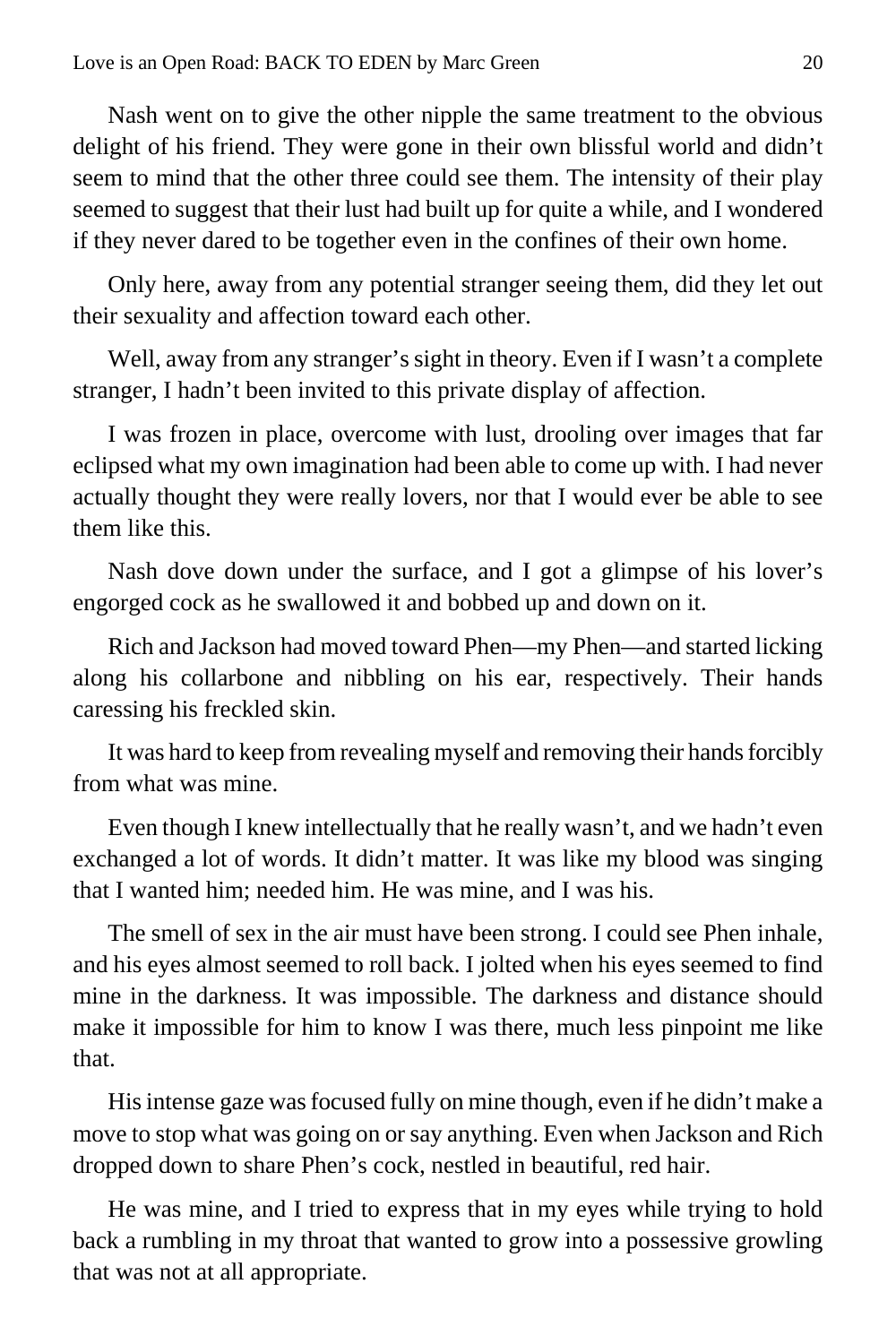Nash went on to give the other nipple the same treatment to the obvious delight of his friend. They were gone in their own blissful world and didn't seem to mind that the other three could see them. The intensity of their play seemed to suggest that their lust had built up for quite a while, and I wondered if they never dared to be together even in the confines of their own home.

Only here, away from any potential stranger seeing them, did they let out their sexuality and affection toward each other.

Well, away from any stranger's sight in theory. Even if I wasn't a complete stranger, I hadn't been invited to this private display of affection.

I was frozen in place, overcome with lust, drooling over images that far eclipsed what my own imagination had been able to come up with. I had never actually thought they were really lovers, nor that I would ever be able to see them like this.

Nash dove down under the surface, and I got a glimpse of his lover's engorged cock as he swallowed it and bobbed up and down on it.

Rich and Jackson had moved toward Phen—my Phen—and started licking along his collarbone and nibbling on his ear, respectively. Their hands caressing his freckled skin.

It was hard to keep from revealing myself and removing their hands forcibly from what was mine.

Even though I knew intellectually that he really wasn't, and we hadn't even exchanged a lot of words. It didn't matter. It was like my blood was singing that I wanted him; needed him. He was mine, and I was his.

The smell of sex in the air must have been strong. I could see Phen inhale, and his eyes almost seemed to roll back. I jolted when his eyes seemed to find mine in the darkness. It was impossible. The darkness and distance should make it impossible for him to know I was there, much less pinpoint me like that.

His intense gaze was focused fully on mine though, even if he didn't make a move to stop what was going on or say anything. Even when Jackson and Rich dropped down to share Phen's cock, nestled in beautiful, red hair.

He was mine, and I tried to express that in my eyes while trying to hold back a rumbling in my throat that wanted to grow into a possessive growling that was not at all appropriate.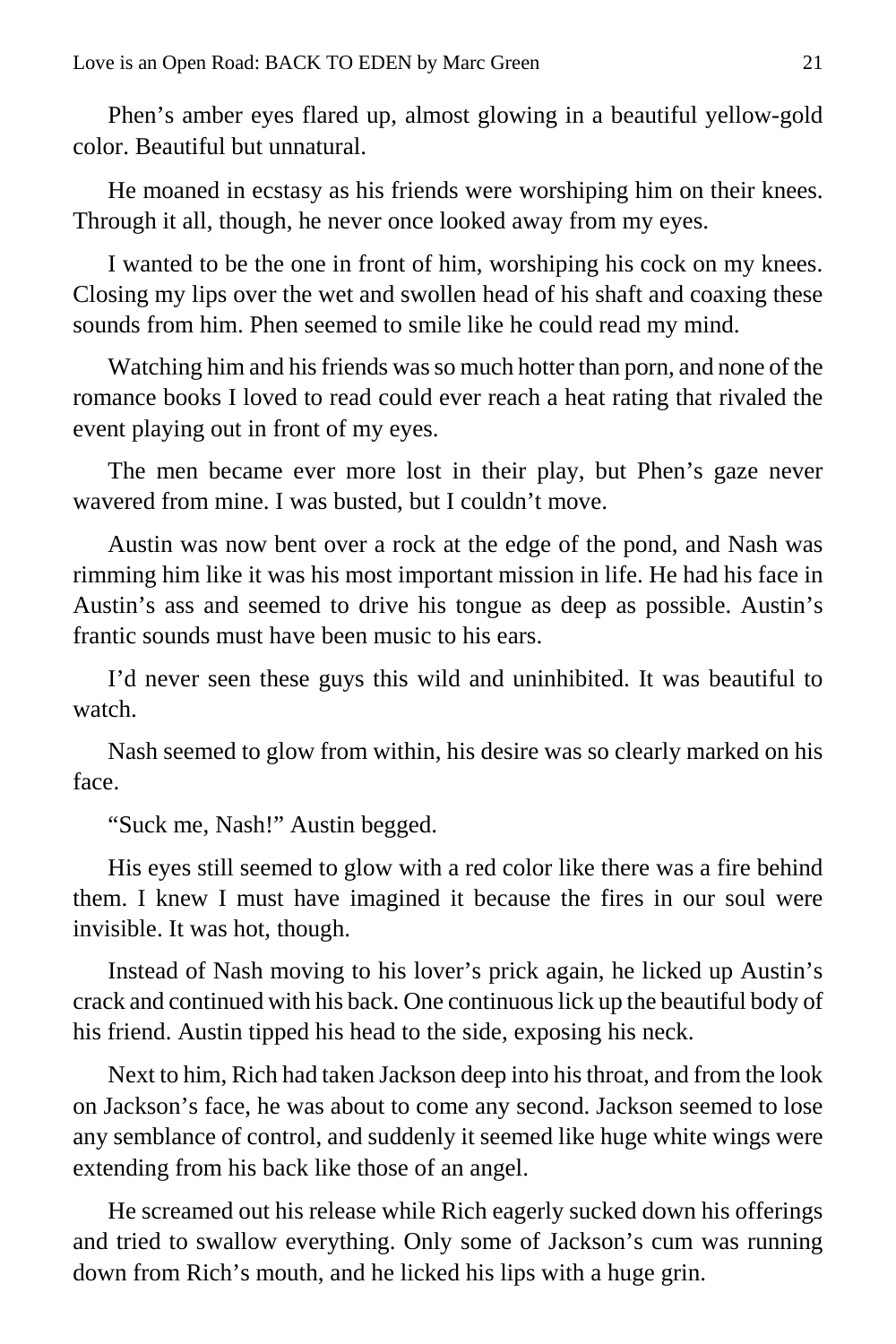Phen's amber eyes flared up, almost glowing in a beautiful yellow-gold color. Beautiful but unnatural.

He moaned in ecstasy as his friends were worshiping him on their knees. Through it all, though, he never once looked away from my eyes.

I wanted to be the one in front of him, worshiping his cock on my knees. Closing my lips over the wet and swollen head of his shaft and coaxing these sounds from him. Phen seemed to smile like he could read my mind.

Watching him and his friends was so much hotter than porn, and none of the romance books I loved to read could ever reach a heat rating that rivaled the event playing out in front of my eyes.

The men became ever more lost in their play, but Phen's gaze never wavered from mine. I was busted, but I couldn't move.

Austin was now bent over a rock at the edge of the pond, and Nash was rimming him like it was his most important mission in life. He had his face in Austin's ass and seemed to drive his tongue as deep as possible. Austin's frantic sounds must have been music to his ears.

I'd never seen these guys this wild and uninhibited. It was beautiful to watch.

Nash seemed to glow from within, his desire was so clearly marked on his face.

"Suck me, Nash!" Austin begged.

His eyes still seemed to glow with a red color like there was a fire behind them. I knew I must have imagined it because the fires in our soul were invisible. It was hot, though.

Instead of Nash moving to his lover's prick again, he licked up Austin's crack and continued with his back. One continuous lick up the beautiful body of his friend. Austin tipped his head to the side, exposing his neck.

Next to him, Rich had taken Jackson deep into his throat, and from the look on Jackson's face, he was about to come any second. Jackson seemed to lose any semblance of control, and suddenly it seemed like huge white wings were extending from his back like those of an angel.

He screamed out his release while Rich eagerly sucked down his offerings and tried to swallow everything. Only some of Jackson's cum was running down from Rich's mouth, and he licked his lips with a huge grin.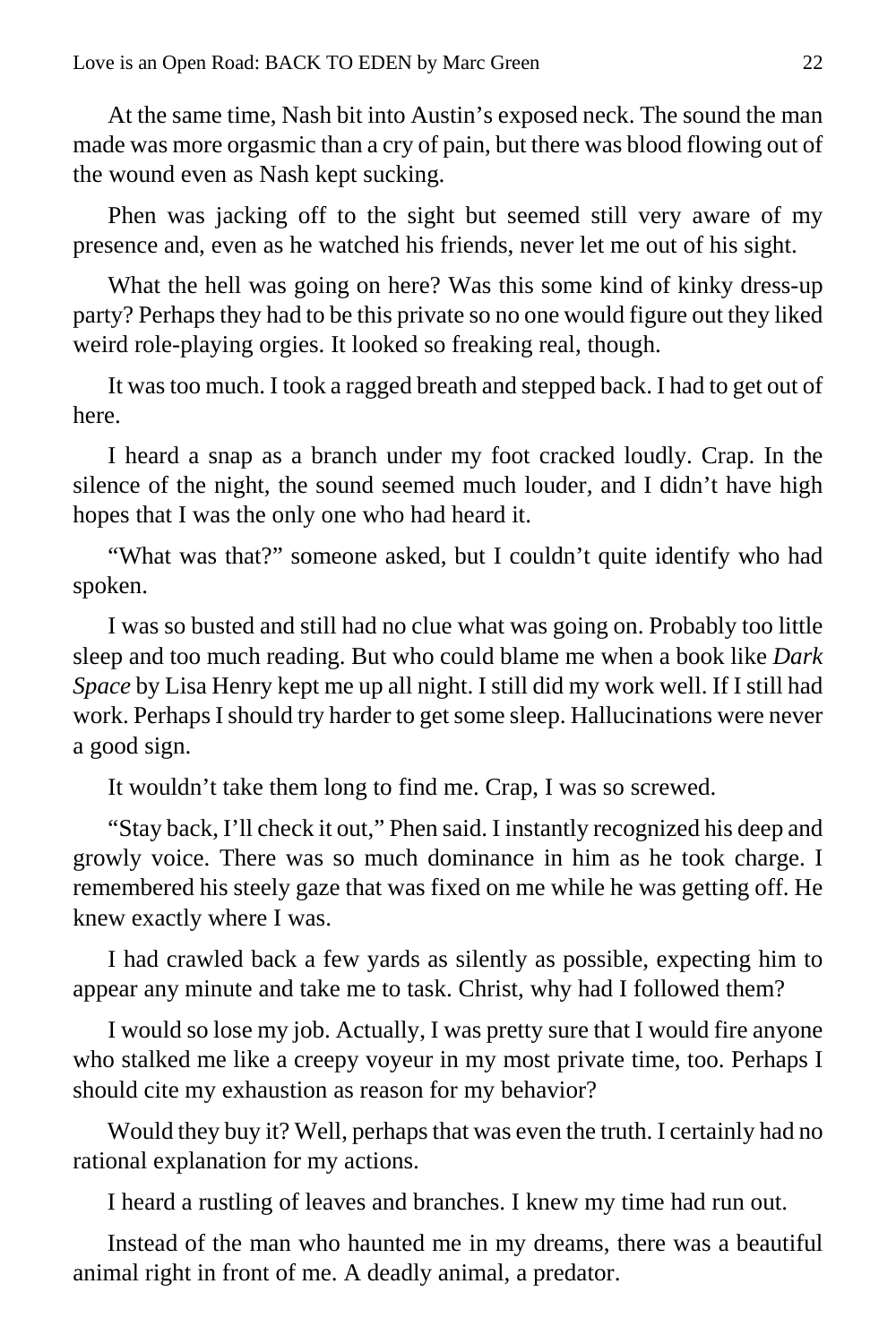At the same time, Nash bit into Austin's exposed neck. The sound the man made was more orgasmic than a cry of pain, but there was blood flowing out of the wound even as Nash kept sucking.

Phen was jacking off to the sight but seemed still very aware of my presence and, even as he watched his friends, never let me out of his sight.

What the hell was going on here? Was this some kind of kinky dress-up party? Perhaps they had to be this private so no one would figure out they liked weird role-playing orgies. It looked so freaking real, though.

It was too much. I took a ragged breath and stepped back. I had to get out of here.

I heard a snap as a branch under my foot cracked loudly. Crap. In the silence of the night, the sound seemed much louder, and I didn't have high hopes that I was the only one who had heard it.

"What was that?" someone asked, but I couldn't quite identify who had spoken.

I was so busted and still had no clue what was going on. Probably too little sleep and too much reading. But who could blame me when a book like *Dark Space* by Lisa Henry kept me up all night. I still did my work well. If I still had work. Perhaps I should try harder to get some sleep. Hallucinations were never a good sign.

It wouldn't take them long to find me. Crap, I was so screwed.

"Stay back, I'll check it out," Phen said. I instantly recognized his deep and growly voice. There was so much dominance in him as he took charge. I remembered his steely gaze that was fixed on me while he was getting off. He knew exactly where I was.

I had crawled back a few yards as silently as possible, expecting him to appear any minute and take me to task. Christ, why had I followed them?

I would so lose my job. Actually, I was pretty sure that I would fire anyone who stalked me like a creepy voyeur in my most private time, too. Perhaps I should cite my exhaustion as reason for my behavior?

Would they buy it? Well, perhaps that was even the truth. I certainly had no rational explanation for my actions.

I heard a rustling of leaves and branches. I knew my time had run out.

Instead of the man who haunted me in my dreams, there was a beautiful animal right in front of me. A deadly animal, a predator.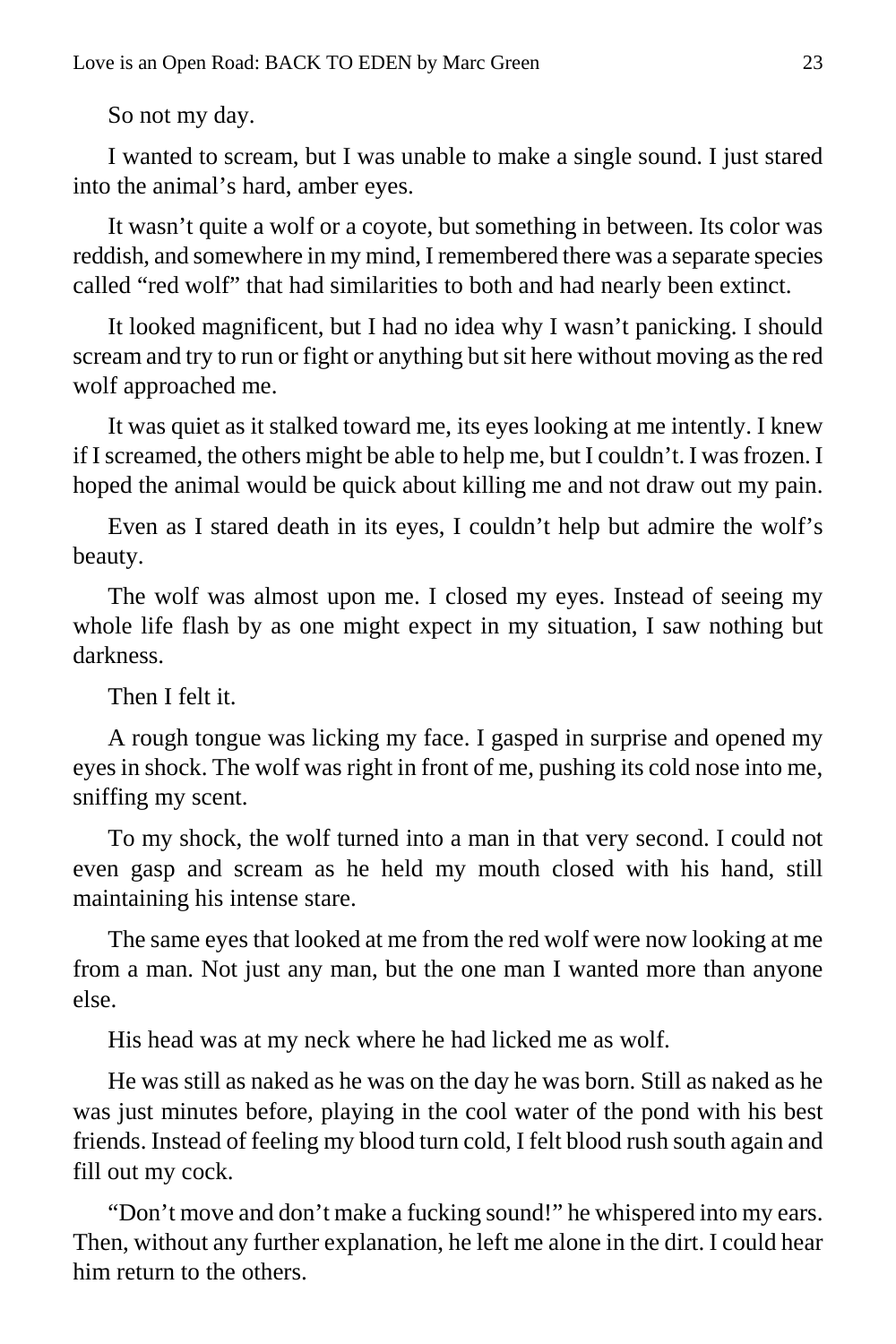So not my day.

I wanted to scream, but I was unable to make a single sound. I just stared into the animal's hard, amber eyes.

It wasn't quite a wolf or a coyote, but something in between. Its color was reddish, and somewhere in my mind, I remembered there was a separate species called "red wolf" that had similarities to both and had nearly been extinct.

It looked magnificent, but I had no idea why I wasn't panicking. I should scream and try to run or fight or anything but sit here without moving as the red wolf approached me.

It was quiet as it stalked toward me, its eyes looking at me intently. I knew if I screamed, the others might be able to help me, but I couldn't. I was frozen. I hoped the animal would be quick about killing me and not draw out my pain.

Even as I stared death in its eyes, I couldn't help but admire the wolf's beauty.

The wolf was almost upon me. I closed my eyes. Instead of seeing my whole life flash by as one might expect in my situation, I saw nothing but darkness.

Then I felt it.

A rough tongue was licking my face. I gasped in surprise and opened my eyes in shock. The wolf was right in front of me, pushing its cold nose into me, sniffing my scent.

To my shock, the wolf turned into a man in that very second. I could not even gasp and scream as he held my mouth closed with his hand, still maintaining his intense stare.

The same eyes that looked at me from the red wolf were now looking at me from a man. Not just any man, but the one man I wanted more than anyone else.

His head was at my neck where he had licked me as wolf.

He was still as naked as he was on the day he was born. Still as naked as he was just minutes before, playing in the cool water of the pond with his best friends. Instead of feeling my blood turn cold, I felt blood rush south again and fill out my cock.

"Don't move and don't make a fucking sound!" he whispered into my ears. Then, without any further explanation, he left me alone in the dirt. I could hear him return to the others.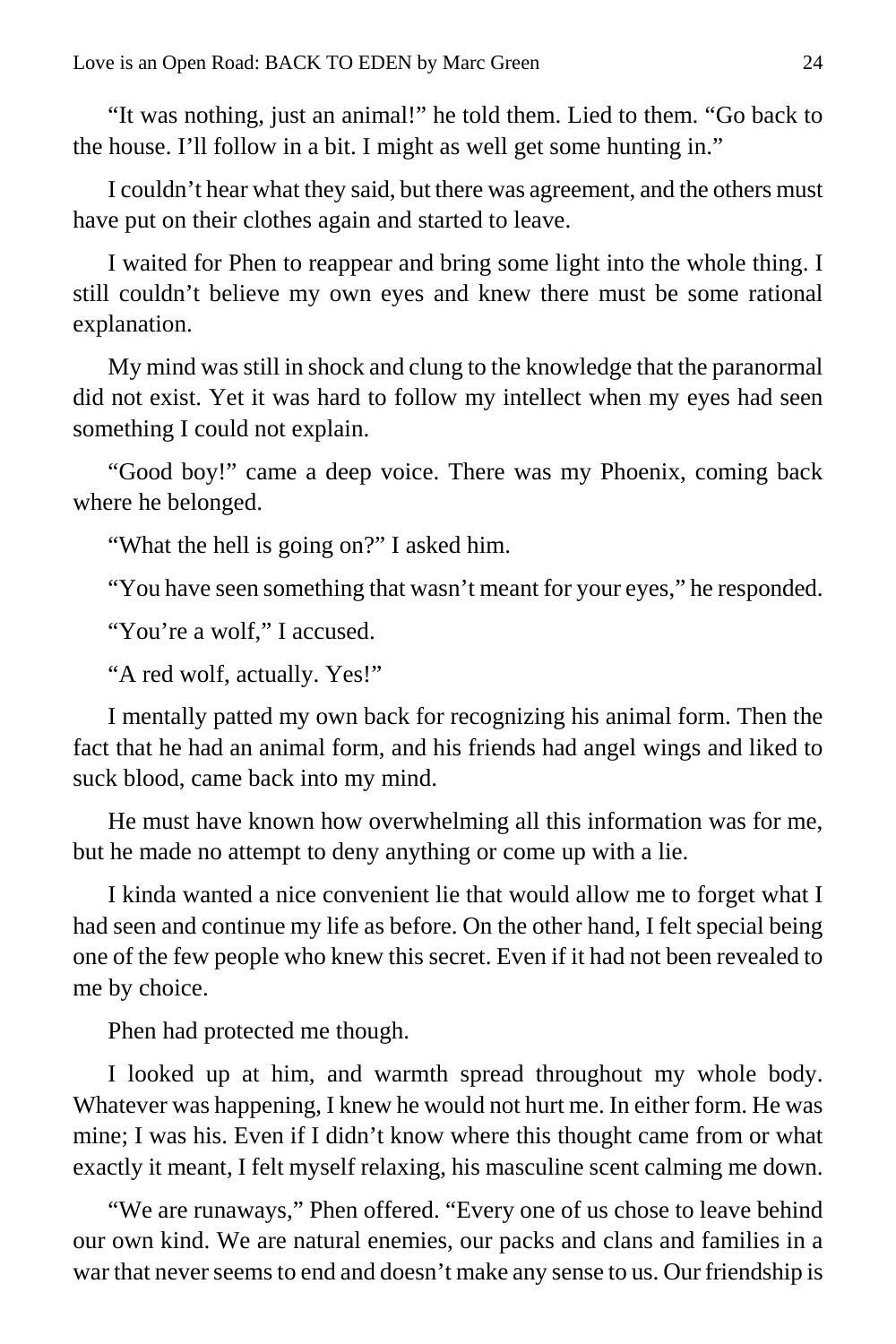"It was nothing, just an animal!" he told them. Lied to them. "Go back to the house. I'll follow in a bit. I might as well get some hunting in."

I couldn't hear what they said, but there was agreement, and the others must have put on their clothes again and started to leave.

I waited for Phen to reappear and bring some light into the whole thing. I still couldn't believe my own eyes and knew there must be some rational explanation.

My mind was still in shock and clung to the knowledge that the paranormal did not exist. Yet it was hard to follow my intellect when my eyes had seen something I could not explain.

"Good boy!" came a deep voice. There was my Phoenix, coming back where he belonged.

"What the hell is going on?" I asked him.

"You have seen something that wasn't meant for your eyes," he responded.

"You're a wolf," I accused.

"A red wolf, actually. Yes!"

I mentally patted my own back for recognizing his animal form. Then the fact that he had an animal form, and his friends had angel wings and liked to suck blood, came back into my mind.

He must have known how overwhelming all this information was for me, but he made no attempt to deny anything or come up with a lie.

I kinda wanted a nice convenient lie that would allow me to forget what I had seen and continue my life as before. On the other hand, I felt special being one of the few people who knew this secret. Even if it had not been revealed to me by choice.

Phen had protected me though.

I looked up at him, and warmth spread throughout my whole body. Whatever was happening, I knew he would not hurt me. In either form. He was mine; I was his. Even if I didn't know where this thought came from or what exactly it meant, I felt myself relaxing, his masculine scent calming me down.

"We are runaways," Phen offered. "Every one of us chose to leave behind our own kind. We are natural enemies, our packs and clans and families in a war that never seems to end and doesn't make any sense to us. Our friendship is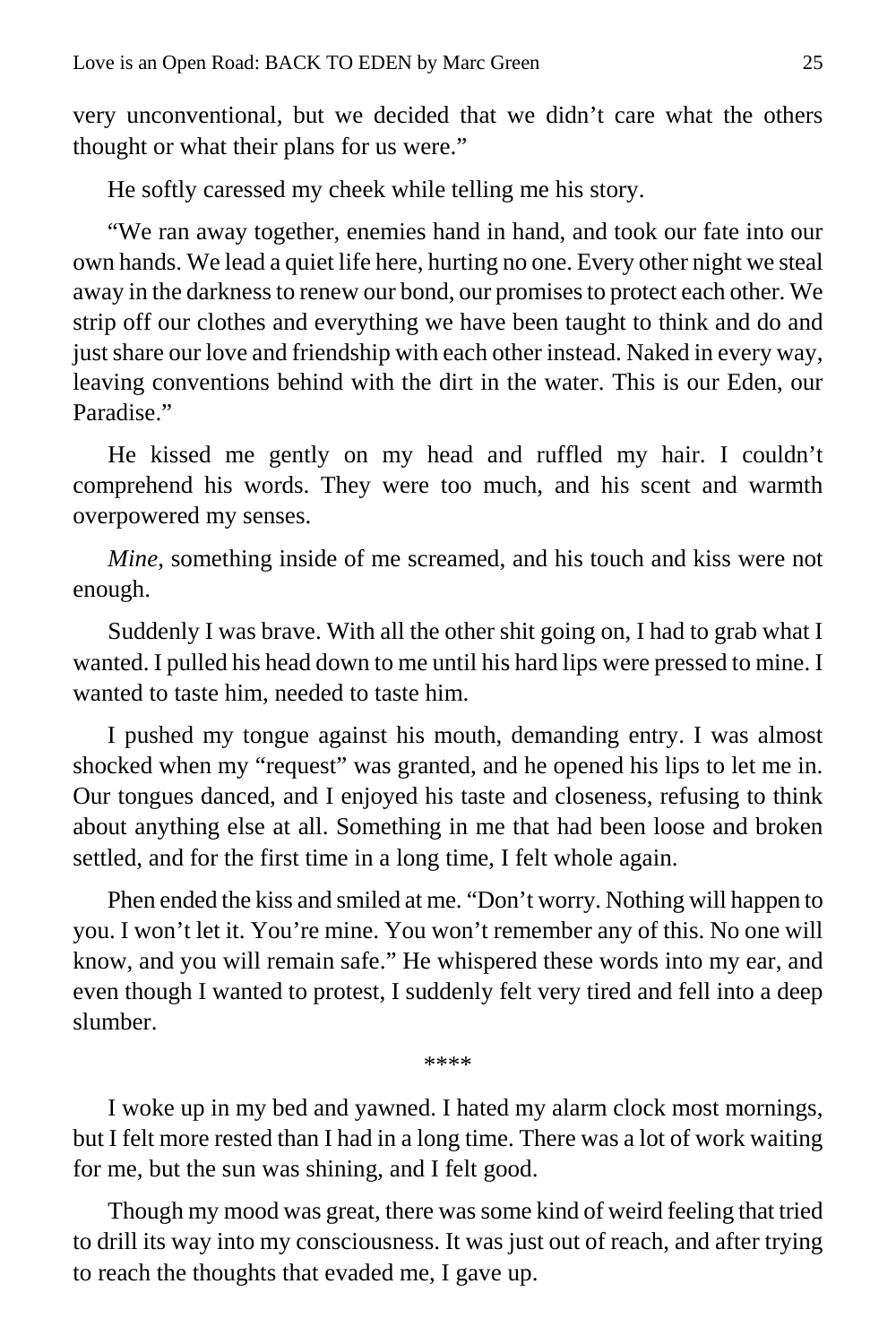very unconventional, but we decided that we didn't care what the others thought or what their plans for us were."

He softly caressed my cheek while telling me his story.

"We ran away together, enemies hand in hand, and took our fate into our own hands. We lead a quiet life here, hurting no one. Every other night we steal away in the darkness to renew our bond, our promises to protect each other. We strip off our clothes and everything we have been taught to think and do and just share our love and friendship with each other instead. Naked in every way, leaving conventions behind with the dirt in the water. This is our Eden, our Paradise."

He kissed me gently on my head and ruffled my hair. I couldn't comprehend his words. They were too much, and his scent and warmth overpowered my senses.

*Mine*, something inside of me screamed, and his touch and kiss were not enough.

Suddenly I was brave. With all the other shit going on, I had to grab what I wanted. I pulled his head down to me until his hard lips were pressed to mine. I wanted to taste him, needed to taste him.

I pushed my tongue against his mouth, demanding entry. I was almost shocked when my "request" was granted, and he opened his lips to let me in. Our tongues danced, and I enjoyed his taste and closeness, refusing to think about anything else at all. Something in me that had been loose and broken settled, and for the first time in a long time, I felt whole again.

Phen ended the kiss and smiled at me. "Don't worry. Nothing will happen to you. I won't let it. You're mine. You won't remember any of this. No one will know, and you will remain safe." He whispered these words into my ear, and even though I wanted to protest, I suddenly felt very tired and fell into a deep slumber.

\*\*\*\*

I woke up in my bed and yawned. I hated my alarm clock most mornings, but I felt more rested than I had in a long time. There was a lot of work waiting for me, but the sun was shining, and I felt good.

Though my mood was great, there was some kind of weird feeling that tried to drill its way into my consciousness. It was just out of reach, and after trying to reach the thoughts that evaded me, I gave up.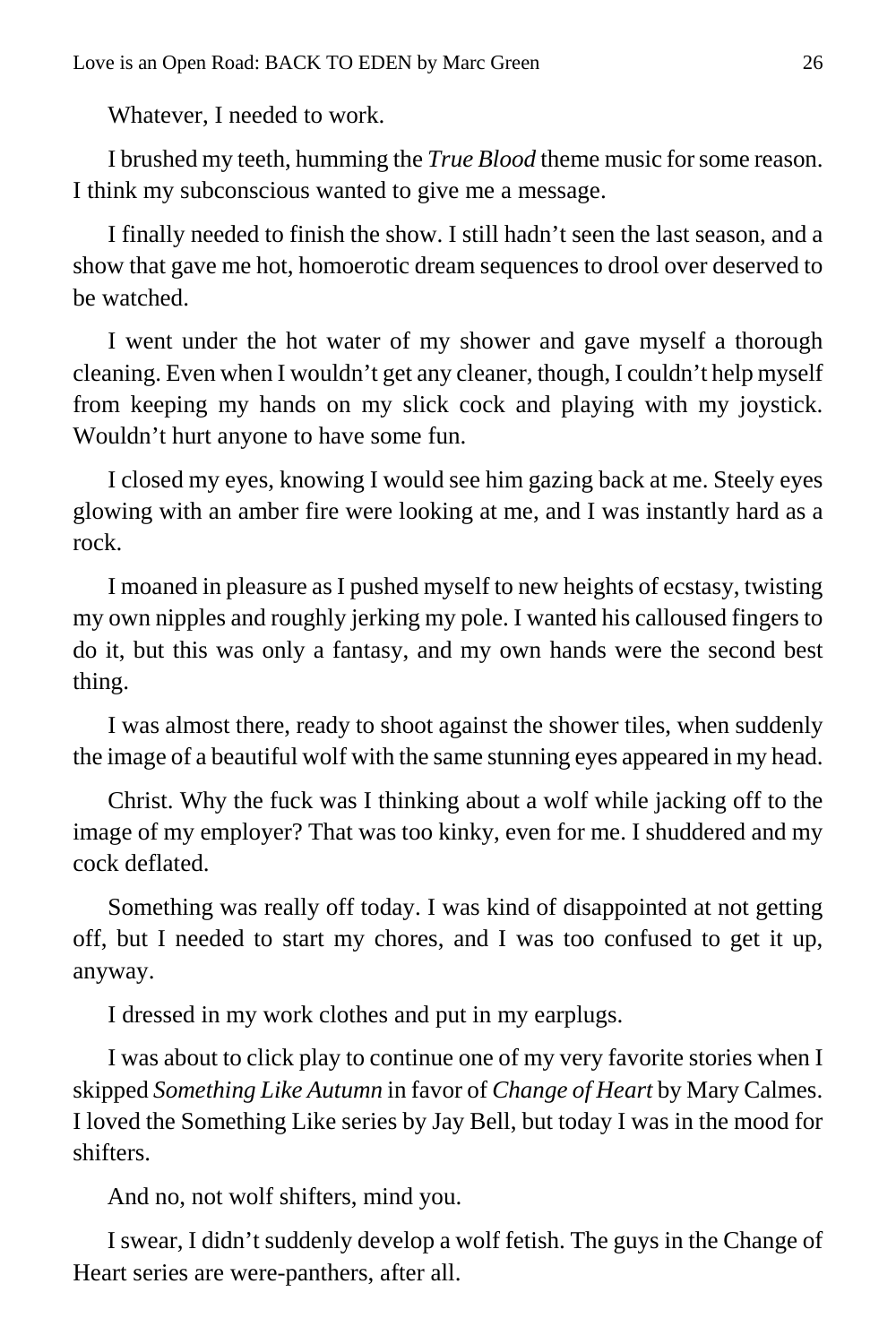Whatever, I needed to work.

I brushed my teeth, humming the *True Blood* theme music for some reason. I think my subconscious wanted to give me a message.

I finally needed to finish the show. I still hadn't seen the last season, and a show that gave me hot, homoerotic dream sequences to drool over deserved to be watched.

I went under the hot water of my shower and gave myself a thorough cleaning. Even when I wouldn't get any cleaner, though, I couldn't help myself from keeping my hands on my slick cock and playing with my joystick. Wouldn't hurt anyone to have some fun.

I closed my eyes, knowing I would see him gazing back at me. Steely eyes glowing with an amber fire were looking at me, and I was instantly hard as a rock.

I moaned in pleasure as I pushed myself to new heights of ecstasy, twisting my own nipples and roughly jerking my pole. I wanted his calloused fingers to do it, but this was only a fantasy, and my own hands were the second best thing.

I was almost there, ready to shoot against the shower tiles, when suddenly the image of a beautiful wolf with the same stunning eyes appeared in my head.

Christ. Why the fuck was I thinking about a wolf while jacking off to the image of my employer? That was too kinky, even for me. I shuddered and my cock deflated.

Something was really off today. I was kind of disappointed at not getting off, but I needed to start my chores, and I was too confused to get it up, anyway.

I dressed in my work clothes and put in my earplugs.

I was about to click play to continue one of my very favorite stories when I skipped *Something Like Autumn* in favor of *Change of Heart* by Mary Calmes. I loved the Something Like series by Jay Bell, but today I was in the mood for shifters.

And no, not wolf shifters, mind you.

I swear, I didn't suddenly develop a wolf fetish. The guys in the Change of Heart series are were-panthers, after all.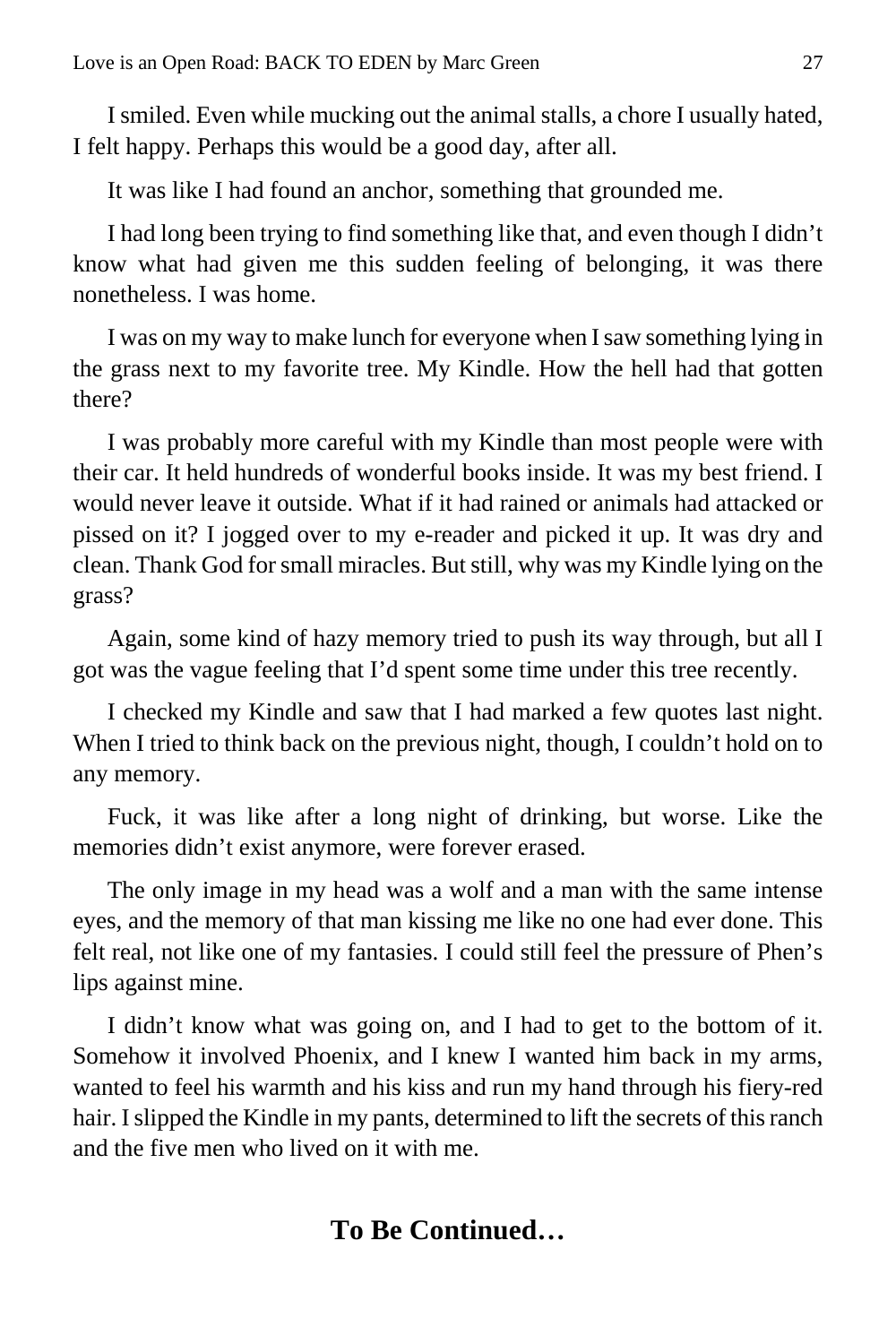I smiled. Even while mucking out the animal stalls, a chore I usually hated, I felt happy. Perhaps this would be a good day, after all.

It was like I had found an anchor, something that grounded me.

I had long been trying to find something like that, and even though I didn't know what had given me this sudden feeling of belonging, it was there nonetheless. I was home.

I was on my way to make lunch for everyone when I saw something lying in the grass next to my favorite tree. My Kindle. How the hell had that gotten there?

I was probably more careful with my Kindle than most people were with their car. It held hundreds of wonderful books inside. It was my best friend. I would never leave it outside. What if it had rained or animals had attacked or pissed on it? I jogged over to my e-reader and picked it up. It was dry and clean. Thank God for small miracles. But still, why was my Kindle lying on the grass?

Again, some kind of hazy memory tried to push its way through, but all I got was the vague feeling that I'd spent some time under this tree recently.

I checked my Kindle and saw that I had marked a few quotes last night. When I tried to think back on the previous night, though, I couldn't hold on to any memory.

Fuck, it was like after a long night of drinking, but worse. Like the memories didn't exist anymore, were forever erased.

The only image in my head was a wolf and a man with the same intense eyes, and the memory of that man kissing me like no one had ever done. This felt real, not like one of my fantasies. I could still feel the pressure of Phen's lips against mine.

I didn't know what was going on, and I had to get to the bottom of it. Somehow it involved Phoenix, and I knew I wanted him back in my arms, wanted to feel his warmth and his kiss and run my hand through his fiery-red hair. I slipped the Kindle in my pants, determined to lift the secrets of this ranch and the five men who lived on it with me.

## **To Be Continued…**